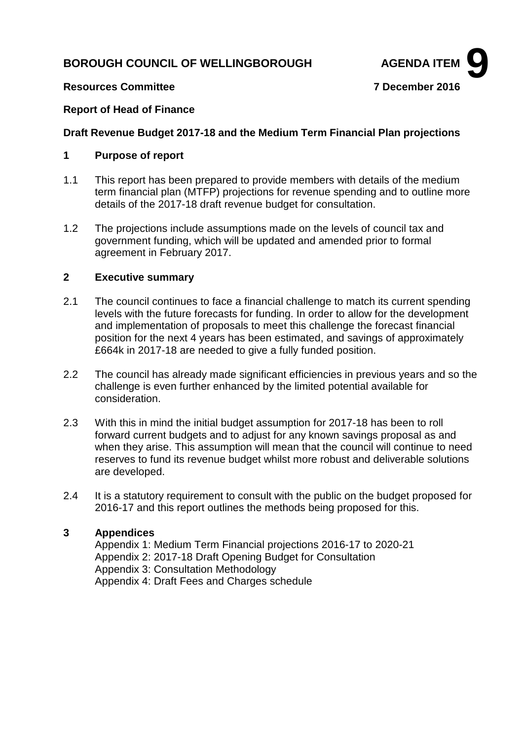# **BOROUGH COUNCIL OF WELLINGBOROUGH AGENDA ITEM**



# **Resources Committee 7 December 2016**

# **Report of Head of Finance**

# **Draft Revenue Budget 2017-18 and the Medium Term Financial Plan projections**

# **1 Purpose of report**

- 1.1 This report has been prepared to provide members with details of the medium term financial plan (MTFP) projections for revenue spending and to outline more details of the 2017-18 draft revenue budget for consultation.
- 1.2 The projections include assumptions made on the levels of council tax and government funding, which will be updated and amended prior to formal agreement in February 2017.

# **2 Executive summary**

- 2.1 The council continues to face a financial challenge to match its current spending levels with the future forecasts for funding. In order to allow for the development and implementation of proposals to meet this challenge the forecast financial position for the next 4 years has been estimated, and savings of approximately £664k in 2017-18 are needed to give a fully funded position.
- 2.2 The council has already made significant efficiencies in previous years and so the challenge is even further enhanced by the limited potential available for consideration.
- 2.3 With this in mind the initial budget assumption for 2017-18 has been to roll forward current budgets and to adjust for any known savings proposal as and when they arise. This assumption will mean that the council will continue to need reserves to fund its revenue budget whilst more robust and deliverable solutions are developed.
- 2.4 It is a statutory requirement to consult with the public on the budget proposed for 2016-17 and this report outlines the methods being proposed for this.

# **3 Appendices**

Appendix 1: Medium Term Financial projections 2016-17 to 2020-21 Appendix 2: 2017-18 Draft Opening Budget for Consultation Appendix 3: Consultation Methodology Appendix 4: Draft Fees and Charges schedule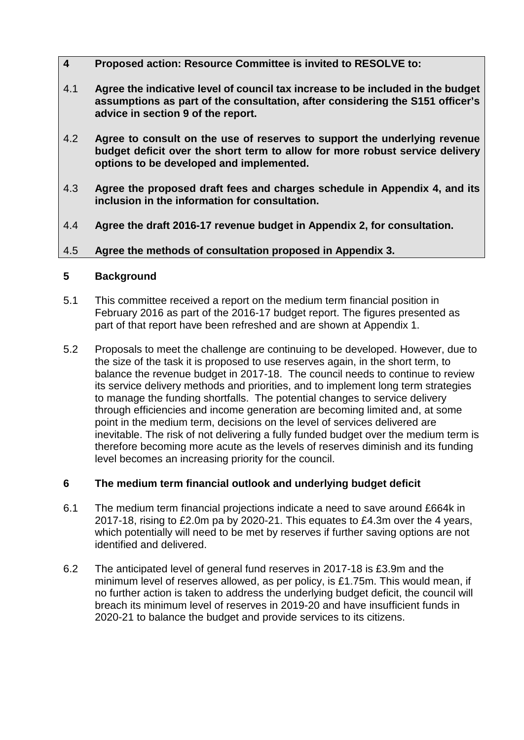- **4 Proposed action: Resource Committee is invited to RESOLVE to:**
- 4.1 **Agree the indicative level of council tax increase to be included in the budget assumptions as part of the consultation, after considering the S151 officer's advice in section 9 of the report.**
- 4.2 **Agree to consult on the use of reserves to support the underlying revenue budget deficit over the short term to allow for more robust service delivery options to be developed and implemented.**
- 4.3 **Agree the proposed draft fees and charges schedule in Appendix 4, and its inclusion in the information for consultation.**
- 4.4 **Agree the draft 2016-17 revenue budget in Appendix 2, for consultation.**

# 4.5 **Agree the methods of consultation proposed in Appendix 3.**

# **5 Background**

- 5.1 This committee received a report on the medium term financial position in February 2016 as part of the 2016-17 budget report. The figures presented as part of that report have been refreshed and are shown at Appendix 1.
- 5.2 Proposals to meet the challenge are continuing to be developed. However, due to the size of the task it is proposed to use reserves again, in the short term, to balance the revenue budget in 2017-18. The council needs to continue to review its service delivery methods and priorities, and to implement long term strategies to manage the funding shortfalls. The potential changes to service delivery through efficiencies and income generation are becoming limited and, at some point in the medium term, decisions on the level of services delivered are inevitable. The risk of not delivering a fully funded budget over the medium term is therefore becoming more acute as the levels of reserves diminish and its funding level becomes an increasing priority for the council.

# **6 The medium term financial outlook and underlying budget deficit**

- 6.1 The medium term financial projections indicate a need to save around £664k in 2017-18, rising to £2.0m pa by 2020-21. This equates to £4.3m over the 4 years, which potentially will need to be met by reserves if further saving options are not identified and delivered.
- 6.2 The anticipated level of general fund reserves in 2017-18 is £3.9m and the minimum level of reserves allowed, as per policy, is £1.75m. This would mean, if no further action is taken to address the underlying budget deficit, the council will breach its minimum level of reserves in 2019-20 and have insufficient funds in 2020-21 to balance the budget and provide services to its citizens.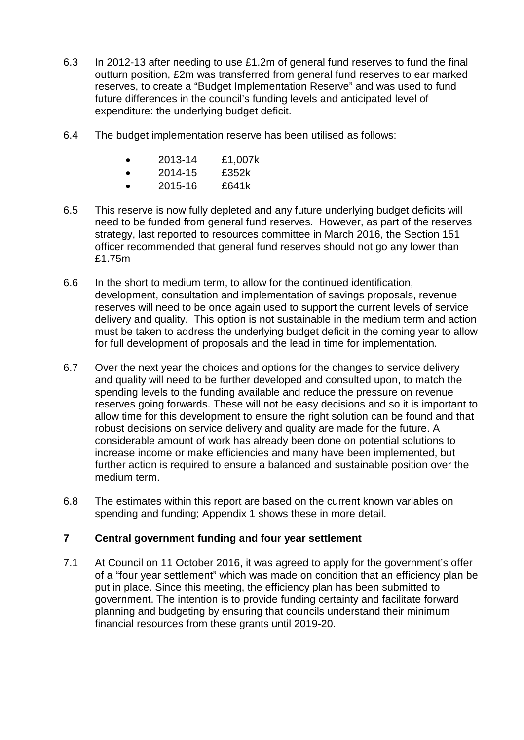- 6.3 In 2012-13 after needing to use £1.2m of general fund reserves to fund the final outturn position, £2m was transferred from general fund reserves to ear marked reserves, to create a "Budget Implementation Reserve" and was used to fund future differences in the council's funding levels and anticipated level of expenditure: the underlying budget deficit.
- 6.4 The budget implementation reserve has been utilised as follows:
	- 2013-14 £1,007k
	- $\bullet$  2014-15  $\text{f}352\text{k}$
	- 2015-16 £641k
- 6.5 This reserve is now fully depleted and any future underlying budget deficits will need to be funded from general fund reserves. However, as part of the reserves strategy, last reported to resources committee in March 2016, the Section 151 officer recommended that general fund reserves should not go any lower than £1.75m
- 6.6 In the short to medium term, to allow for the continued identification, development, consultation and implementation of savings proposals, revenue reserves will need to be once again used to support the current levels of service delivery and quality. This option is not sustainable in the medium term and action must be taken to address the underlying budget deficit in the coming year to allow for full development of proposals and the lead in time for implementation.
- 6.7 Over the next year the choices and options for the changes to service delivery and quality will need to be further developed and consulted upon, to match the spending levels to the funding available and reduce the pressure on revenue reserves going forwards. These will not be easy decisions and so it is important to allow time for this development to ensure the right solution can be found and that robust decisions on service delivery and quality are made for the future. A considerable amount of work has already been done on potential solutions to increase income or make efficiencies and many have been implemented, but further action is required to ensure a balanced and sustainable position over the medium term.
- 6.8 The estimates within this report are based on the current known variables on spending and funding; Appendix 1 shows these in more detail.

# **7 Central government funding and four year settlement**

7.1 At Council on 11 October 2016, it was agreed to apply for the government's offer of a "four year settlement" which was made on condition that an efficiency plan be put in place. Since this meeting, the efficiency plan has been submitted to government. The intention is to provide funding certainty and facilitate forward planning and budgeting by ensuring that councils understand their minimum financial resources from these grants until 2019-20.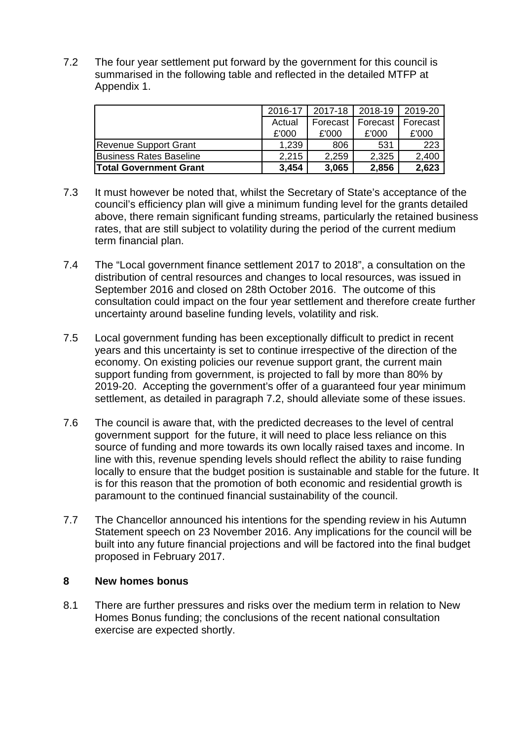7.2 The four year settlement put forward by the government for this council is summarised in the following table and reflected in the detailed MTFP at Appendix 1.

|                               | 2016-17 | 2017-18 2018-19 |                     | 2019-20 |
|-------------------------------|---------|-----------------|---------------------|---------|
|                               | Actual  | Forecast        | Forecast   Forecast |         |
|                               | £'000   | £'000           | £'000               | £'000   |
| Revenue Support Grant         | 1,239   | 806             | 531                 | 223     |
| Business Rates Baseline       | 2,215   | 2,259           | 2,325               | 2,400   |
| <b>Total Government Grant</b> | 3,454   | 3,065           | 2,856               | 2,623   |

- 7.3 It must however be noted that, whilst the Secretary of State's acceptance of the council's efficiency plan will give a minimum funding level for the grants detailed above, there remain significant funding streams, particularly the retained business rates, that are still subject to volatility during the period of the current medium term financial plan.
- 7.4 The "Local government finance settlement 2017 to 2018", a consultation on the distribution of central resources and changes to local resources, was issued in September 2016 and closed on 28th October 2016. The outcome of this consultation could impact on the four year settlement and therefore create further uncertainty around baseline funding levels, volatility and risk.
- 7.5 Local government funding has been exceptionally difficult to predict in recent years and this uncertainty is set to continue irrespective of the direction of the economy. On existing policies our revenue support grant, the current main support funding from government, is projected to fall by more than 80% by 2019-20. Accepting the government's offer of a guaranteed four year minimum settlement, as detailed in paragraph 7.2, should alleviate some of these issues.
- 7.6 The council is aware that, with the predicted decreases to the level of central government support for the future, it will need to place less reliance on this source of funding and more towards its own locally raised taxes and income. In line with this, revenue spending levels should reflect the ability to raise funding locally to ensure that the budget position is sustainable and stable for the future. It is for this reason that the promotion of both economic and residential growth is paramount to the continued financial sustainability of the council.
- 7.7 The Chancellor announced his intentions for the spending review in his Autumn Statement speech on 23 November 2016. Any implications for the council will be built into any future financial projections and will be factored into the final budget proposed in February 2017.

# **8 New homes bonus**

8.1 There are further pressures and risks over the medium term in relation to New Homes Bonus funding; the conclusions of the recent national consultation exercise are expected shortly.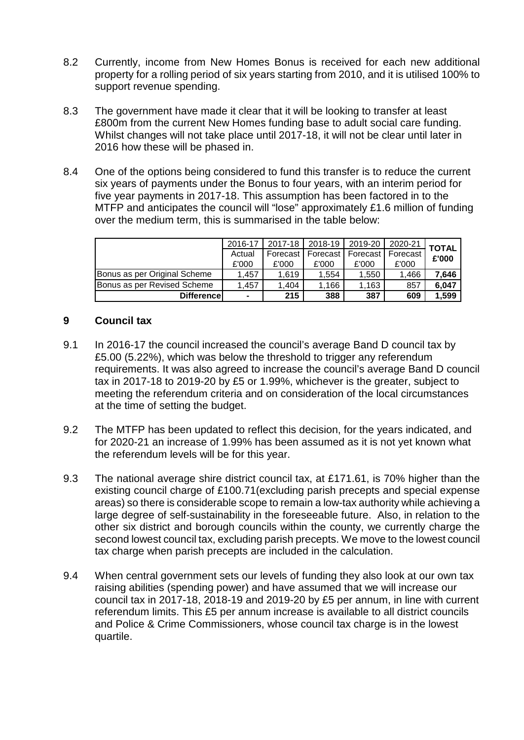- 8.2 Currently, income from New Homes Bonus is received for each new additional property for a rolling period of six years starting from 2010, and it is utilised 100% to support revenue spending.
- 8.3 The government have made it clear that it will be looking to transfer at least £800m from the current New Homes funding base to adult social care funding. Whilst changes will not take place until 2017-18, it will not be clear until later in 2016 how these will be phased in.
- 8.4 One of the options being considered to fund this transfer is to reduce the current six years of payments under the Bonus to four years, with an interim period for five year payments in 2017-18. This assumption has been factored in to the MTFP and anticipates the council will "lose" approximately £1.6 million of funding over the medium term, this is summarised in the table below:

|                                      | 2016-17 | 2017-18  | 2018-19 | 2019-20               | 2020-21  | <b>TOTAL</b> |
|--------------------------------------|---------|----------|---------|-----------------------|----------|--------------|
|                                      | Actual  | Forecast |         | Forecast I Forecast I | Forecast | £'000        |
|                                      | £'000   | £'000    | £'000   | £'000                 | £'000    |              |
| Bonus as per Original Scheme         | 1.457   | 1.619    | 1.554   | 1,550                 | .466     | 7,646        |
| <b>I</b> Bonus as per Revised Scheme | 1.457   | 1.404    | .166    | 1.163                 | 857      | 6,047        |
| <b>Differencel</b>                   | -       | 215      | 388     | 387                   | 609      | 1,599        |

# **9 Council tax**

- 9.1 In 2016-17 the council increased the council's average Band D council tax by £5.00 (5.22%), which was below the threshold to trigger any referendum requirements. It was also agreed to increase the council's average Band D council tax in 2017-18 to 2019-20 by £5 or 1.99%, whichever is the greater, subject to meeting the referendum criteria and on consideration of the local circumstances at the time of setting the budget.
- 9.2 The MTFP has been updated to reflect this decision, for the years indicated, and for 2020-21 an increase of 1.99% has been assumed as it is not yet known what the referendum levels will be for this year.
- 9.3 The national average shire district council tax, at £171.61, is 70% higher than the existing council charge of £100.71(excluding parish precepts and special expense areas) so there is considerable scope to remain a low-tax authority while achieving a large degree of self-sustainability in the foreseeable future. Also, in relation to the other six district and borough councils within the county, we currently charge the second lowest council tax, excluding parish precepts. We move to the lowest council tax charge when parish precepts are included in the calculation.
- 9.4 When central government sets our levels of funding they also look at our own tax raising abilities (spending power) and have assumed that we will increase our council tax in 2017-18, 2018-19 and 2019-20 by £5 per annum, in line with current referendum limits. This £5 per annum increase is available to all district councils and Police & Crime Commissioners, whose council tax charge is in the lowest quartile.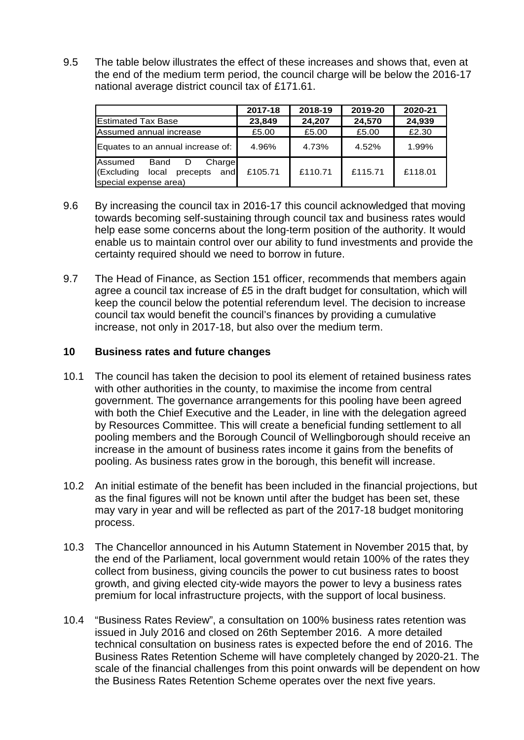9.5 The table below illustrates the effect of these increases and shows that, even at the end of the medium term period, the council charge will be below the 2016-17 national average district council tax of £171.61.

|                                                                                                | 2017-18 | 2018-19 | 2019-20 | 2020-21 |
|------------------------------------------------------------------------------------------------|---------|---------|---------|---------|
| <b>Estimated Tax Base</b>                                                                      | 23,849  | 24,207  | 24,570  | 24,939  |
| Assumed annual increase                                                                        | £5.00   | £5.00   | £5.00   | £2.30   |
| Equates to an annual increase of:                                                              | 4.96%   | 4.73%   | 4.52%   | 1.99%   |
| Assumed<br>Band<br>Charge<br>D<br>(Excluding<br>local<br>precepts and<br>special expense area) | £105.71 | £110.71 | £115.71 | £118.01 |

- 9.6 By increasing the council tax in 2016-17 this council acknowledged that moving towards becoming self-sustaining through council tax and business rates would help ease some concerns about the long-term position of the authority. It would enable us to maintain control over our ability to fund investments and provide the certainty required should we need to borrow in future.
- 9.7 The Head of Finance, as Section 151 officer, recommends that members again agree a council tax increase of £5 in the draft budget for consultation, which will keep the council below the potential referendum level. The decision to increase council tax would benefit the council's finances by providing a cumulative increase, not only in 2017-18, but also over the medium term.

## **10 Business rates and future changes**

- 10.1 The council has taken the decision to pool its element of retained business rates with other authorities in the county, to maximise the income from central government. The governance arrangements for this pooling have been agreed with both the Chief Executive and the Leader, in line with the delegation agreed by Resources Committee. This will create a beneficial funding settlement to all pooling members and the Borough Council of Wellingborough should receive an increase in the amount of business rates income it gains from the benefits of pooling. As business rates grow in the borough, this benefit will increase.
- 10.2 An initial estimate of the benefit has been included in the financial projections, but as the final figures will not be known until after the budget has been set, these may vary in year and will be reflected as part of the 2017-18 budget monitoring process.
- 10.3 The Chancellor announced in his Autumn Statement in November 2015 that, by the end of the Parliament, local government would retain 100% of the rates they collect from business, giving councils the power to cut business rates to boost growth, and giving elected city-wide mayors the power to levy a business rates premium for local infrastructure projects, with the support of local business.
- 10.4 "Business Rates Review", a consultation on 100% business rates retention was issued in July 2016 and closed on 26th September 2016. A more detailed technical consultation on business rates is expected before the end of 2016. The Business Rates Retention Scheme will have completely changed by 2020-21. The scale of the financial challenges from this point onwards will be dependent on how the Business Rates Retention Scheme operates over the next five years.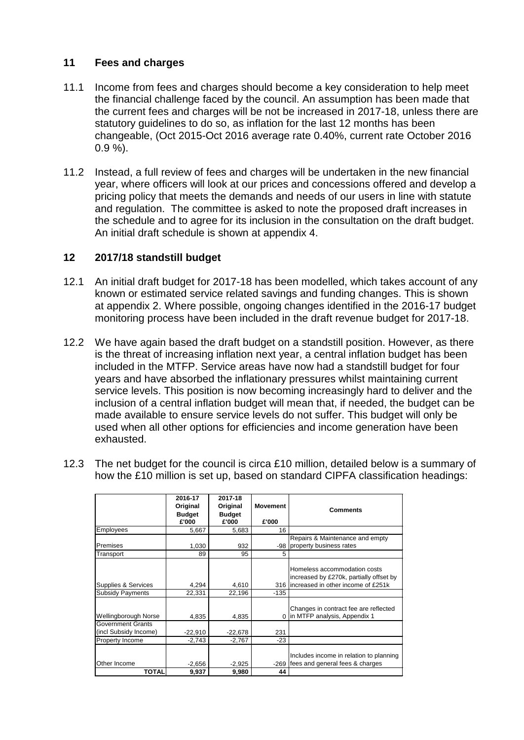# **11 Fees and charges**

- 11.1 Income from fees and charges should become a key consideration to help meet the financial challenge faced by the council. An assumption has been made that the current fees and charges will be not be increased in 2017-18, unless there are statutory guidelines to do so, as inflation for the last 12 months has been changeable, (Oct 2015-Oct 2016 average rate 0.40%, current rate October 2016 0.9 %).
- 11.2 Instead, a full review of fees and charges will be undertaken in the new financial year, where officers will look at our prices and concessions offered and develop a pricing policy that meets the demands and needs of our users in line with statute and regulation. The committee is asked to note the proposed draft increases in the schedule and to agree for its inclusion in the consultation on the draft budget. An initial draft schedule is shown at appendix 4.

# **12 2017/18 standstill budget**

- 12.1 An initial draft budget for 2017-18 has been modelled, which takes account of any known or estimated service related savings and funding changes. This is shown at appendix 2. Where possible, ongoing changes identified in the 2016-17 budget monitoring process have been included in the draft revenue budget for 2017-18.
- 12.2 We have again based the draft budget on a standstill position. However, as there is the threat of increasing inflation next year, a central inflation budget has been included in the MTFP. Service areas have now had a standstill budget for four years and have absorbed the inflationary pressures whilst maintaining current service levels. This position is now becoming increasingly hard to deliver and the inclusion of a central inflation budget will mean that, if needed, the budget can be made available to ensure service levels do not suffer. This budget will only be used when all other options for efficiencies and income generation have been exhausted.
- 12.3 The net budget for the council is circa £10 million, detailed below is a summary of how the £10 million is set up, based on standard CIPFA classification headings:

|                                                   | 2016-17<br>Original<br><b>Budget</b> | 2017-18<br>Original<br><b>Budget</b> | <b>Movement</b> | <b>Comments</b>                                                                                                    |
|---------------------------------------------------|--------------------------------------|--------------------------------------|-----------------|--------------------------------------------------------------------------------------------------------------------|
|                                                   | £'000                                | £'000                                | £'000           |                                                                                                                    |
| Employees                                         | 5,667                                | 5,683                                | 16              |                                                                                                                    |
|                                                   |                                      |                                      |                 | Repairs & Maintenance and empty                                                                                    |
| Premises                                          | 1,030                                | 932                                  |                 | -98 property business rates                                                                                        |
| Transport                                         | 89                                   | 95                                   | 5               |                                                                                                                    |
| Supplies & Services                               | 4,294                                | 4,610                                |                 | Homeless accommodation costs<br>increased by £270k, partially offset by<br>316 lincreased in other income of £251k |
| <b>Subsidy Payments</b>                           | 22,331                               | 22,196                               | $-135$          |                                                                                                                    |
| Wellingborough Norse                              | 4,835                                | 4,835                                | $\Omega$        | Changes in contract fee are reflected<br>in MTFP analysis, Appendix 1                                              |
| <b>Government Grants</b><br>(incl Subsidy Income) | $-22,910$                            | $-22,678$                            | 231             |                                                                                                                    |
| Property Income                                   | $-2,743$                             | $-2,767$                             | $-23$           |                                                                                                                    |
| Other Income                                      | $-2,656$                             | $-2,925$                             |                 | Includes income in relation to planning<br>-269 fees and general fees & charges                                    |
| <b>TOTAL</b>                                      | 9,937                                | 9,980                                | 44              |                                                                                                                    |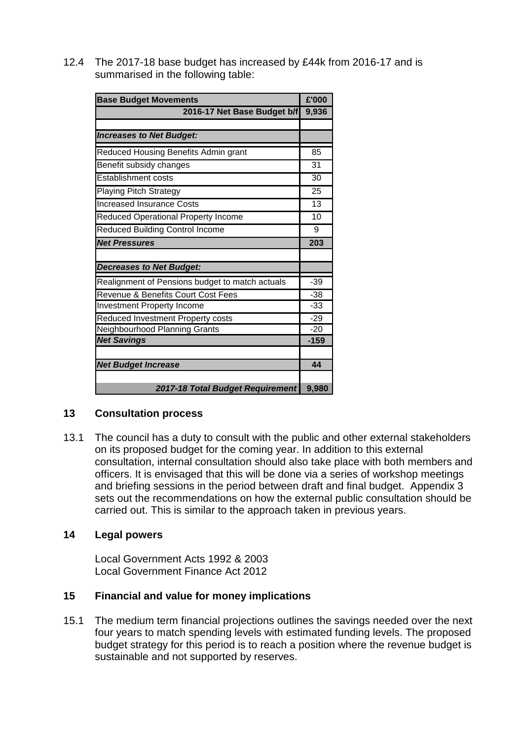12.4 The 2017-18 base budget has increased by £44k from 2016-17 and is summarised in the following table:

| <b>Base Budget Movements</b>                    | £'000           |
|-------------------------------------------------|-----------------|
| 2016-17 Net Base Budget b/f                     | 9,936           |
|                                                 |                 |
| <b>Increases to Net Budget:</b>                 |                 |
| Reduced Housing Benefits Admin grant            | 85              |
| Benefit subsidy changes                         | 31              |
| <b>Establishment costs</b>                      | 30              |
| <b>Playing Pitch Strategy</b>                   | 25              |
| <b>Increased Insurance Costs</b>                | $\overline{13}$ |
| Reduced Operational Property Income             | 10              |
| <b>Reduced Building Control Income</b>          | 9               |
| <b>Net Pressures</b>                            | 203             |
|                                                 |                 |
| <b>Decreases to Net Budget:</b>                 |                 |
| Realignment of Pensions budget to match actuals | $-39$           |
| Revenue & Benefits Court Cost Fees              | $-38$           |
| Investment Property Income                      | $-33$           |
| Reduced Investment Property costs               | $-29$           |
| Neighbourhood Planning Grants                   | $-20$           |
| <b>Net Savings</b>                              | $-159$          |
|                                                 |                 |
| <b>Net Budget Increase</b>                      | 44              |
|                                                 |                 |
| 2017-18 Total Budget Requirement                | 9,980           |

# **13 Consultation process**

13.1 The council has a duty to consult with the public and other external stakeholders on its proposed budget for the coming year. In addition to this external consultation, internal consultation should also take place with both members and officers. It is envisaged that this will be done via a series of workshop meetings and briefing sessions in the period between draft and final budget. Appendix 3 sets out the recommendations on how the external public consultation should be carried out. This is similar to the approach taken in previous years.

# **14 Legal powers**

Local Government Acts 1992 & 2003 Local Government Finance Act 2012

# **15 Financial and value for money implications**

15.1 The medium term financial projections outlines the savings needed over the next four years to match spending levels with estimated funding levels. The proposed budget strategy for this period is to reach a position where the revenue budget is sustainable and not supported by reserves.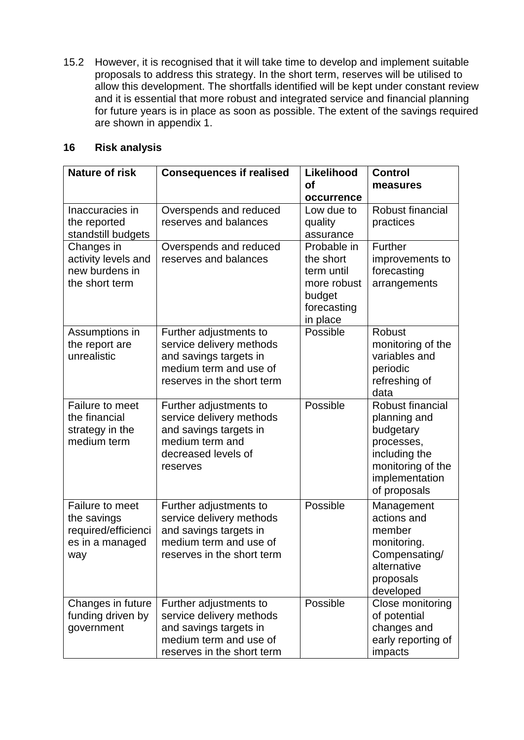15.2 However, it is recognised that it will take time to develop and implement suitable proposals to address this strategy. In the short term, reserves will be utilised to allow this development. The shortfalls identified will be kept under constant review and it is essential that more robust and integrated service and financial planning for future years is in place as soon as possible. The extent of the savings required are shown in appendix 1.

# **16 Risk analysis**

| <b>Nature of risk</b>                  | <b>Consequences if realised</b>                  | Likelihood              | <b>Control</b>                 |
|----------------------------------------|--------------------------------------------------|-------------------------|--------------------------------|
|                                        |                                                  | <b>of</b>               | measures                       |
|                                        |                                                  | occurrence              |                                |
| Inaccuracies in                        | Overspends and reduced                           | Low due to              | Robust financial               |
| the reported                           | reserves and balances                            | quality                 | practices                      |
| standstill budgets                     |                                                  | assurance               |                                |
| Changes in                             | Overspends and reduced                           | Probable in             | <b>Further</b>                 |
| activity levels and<br>new burdens in  | reserves and balances                            | the short<br>term until | improvements to<br>forecasting |
| the short term                         |                                                  | more robust             | arrangements                   |
|                                        |                                                  | budget                  |                                |
|                                        |                                                  | forecasting             |                                |
|                                        |                                                  | in place                |                                |
| Assumptions in                         | Further adjustments to                           | Possible                | Robust                         |
| the report are                         | service delivery methods                         |                         | monitoring of the              |
| unrealistic                            | and savings targets in                           |                         | variables and                  |
|                                        | medium term and use of                           |                         | periodic                       |
|                                        | reserves in the short term                       |                         | refreshing of                  |
|                                        |                                                  |                         | data                           |
| Failure to meet                        | Further adjustments to                           | Possible                | Robust financial               |
| the financial                          | service delivery methods                         |                         | planning and                   |
| strategy in the                        | and savings targets in                           |                         | budgetary                      |
| medium term                            | medium term and                                  |                         | processes,                     |
|                                        | decreased levels of                              |                         | including the                  |
|                                        | reserves                                         |                         | monitoring of the              |
|                                        |                                                  |                         | implementation                 |
|                                        |                                                  |                         | of proposals                   |
| Failure to meet                        | Further adjustments to                           | Possible                | Management                     |
| the savings                            | service delivery methods                         |                         | actions and                    |
| required/efficienci<br>es in a managed | and savings targets in<br>medium term and use of |                         | member<br>monitoring.          |
|                                        | reserves in the short term                       |                         | Compensating/                  |
| way                                    |                                                  |                         | alternative                    |
|                                        |                                                  |                         | proposals                      |
|                                        |                                                  |                         | developed                      |
| Changes in future                      | Further adjustments to                           | Possible                | Close monitoring               |
| funding driven by                      | service delivery methods                         |                         | of potential                   |
| government                             | and savings targets in                           |                         | changes and                    |
|                                        | medium term and use of                           |                         | early reporting of             |
|                                        | reserves in the short term                       |                         | impacts                        |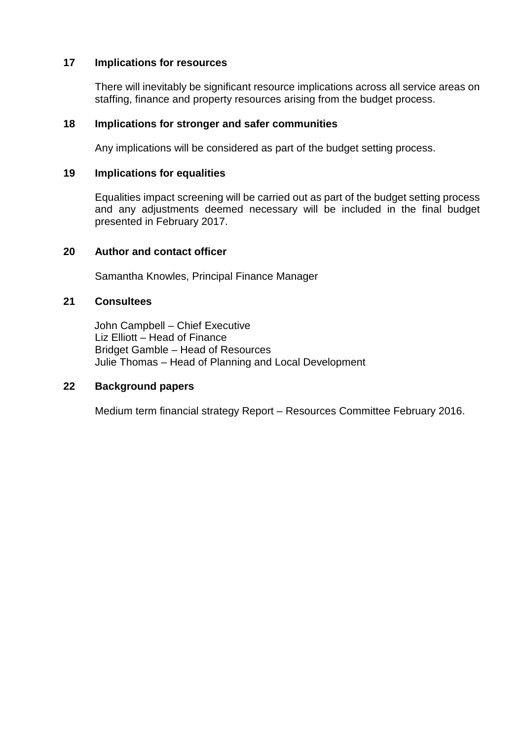## **17 Implications for resources**

There will inevitably be significant resource implications across all service areas on staffing, finance and property resources arising from the budget process.

### **18 Implications for stronger and safer communities**

Any implications will be considered as part of the budget setting process.

### **19 Implications for equalities**

Equalities impact screening will be carried out as part of the budget setting process and any adjustments deemed necessary will be included in the final budget presented in February 2017.

### **20 Author and contact officer**

Samantha Knowles, Principal Finance Manager

### **21 Consultees**

John Campbell – Chief Executive Liz Elliott – Head of Finance Bridget Gamble – Head of Resources Julie Thomas – Head of Planning and Local Development

### **22 Background papers**

Medium term financial strategy Report – Resources Committee February 2016.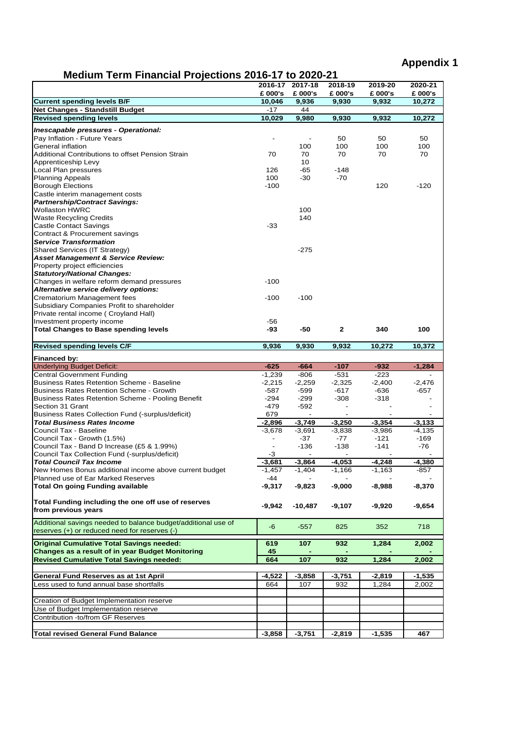# **Medium Term Financial Projections 2016-17 to 2020-21**

| $m$ caram Termi i maneral i Tojcenono zo Io-Tri to zozo-z i   |          |                          |          |          |          |
|---------------------------------------------------------------|----------|--------------------------|----------|----------|----------|
|                                                               |          | 2016-17 2017-18          | 2018-19  | 2019-20  | 2020-21  |
|                                                               | £ 000's  | £ 000's                  | £ 000's  | £ 000's  | £ 000's  |
| <b>Current spending levels B/F</b>                            | 10,046   | 9,936                    | 9,930    | 9,932    | 10,272   |
| <b>Net Changes - Standstill Budget</b>                        | $-17$    | 44                       |          |          |          |
|                                                               |          |                          |          |          |          |
| <b>Revised spending levels</b>                                | 10,029   | 9,980                    | 9,930    | 9,932    | 10,272   |
| Inescapable pressures - Operational:                          |          |                          |          |          |          |
|                                                               |          |                          |          | 50       | 50       |
| Pay Inflation - Future Years                                  |          |                          | 50       |          |          |
| General inflation                                             |          | 100                      | 100      | 100      | 100      |
| Additional Contributions to offset Pension Strain             | 70       | 70                       | 70       | 70       | 70       |
| Apprenticeship Levy                                           |          | 10                       |          |          |          |
| Local Plan pressures                                          | 126      | -65                      | $-148$   |          |          |
| <b>Planning Appeals</b>                                       | 100      | $-30$                    | $-70$    |          |          |
|                                                               | $-100$   |                          |          | 120      | $-120$   |
| <b>Borough Elections</b>                                      |          |                          |          |          |          |
| Castle interim management costs                               |          |                          |          |          |          |
| <b>Partnership/Contract Savings:</b>                          |          |                          |          |          |          |
| <b>Wollaston HWRC</b>                                         |          | 100                      |          |          |          |
| <b>Waste Recycling Credits</b>                                |          | 140                      |          |          |          |
| <b>Castle Contact Savings</b>                                 | $-33$    |                          |          |          |          |
|                                                               |          |                          |          |          |          |
| Contract & Procurement savings                                |          |                          |          |          |          |
| <b>Service Transformation</b>                                 |          |                          |          |          |          |
| Shared Services (IT Strategy)                                 |          | $-275$                   |          |          |          |
| <b>Asset Management &amp; Service Review:</b>                 |          |                          |          |          |          |
| Property project efficiencies                                 |          |                          |          |          |          |
| <b>Statutory/National Changes:</b>                            |          |                          |          |          |          |
|                                                               |          |                          |          |          |          |
| Changes in welfare reform demand pressures                    | $-100$   |                          |          |          |          |
| Alternative service delivery options:                         |          |                          |          |          |          |
| Crematorium Management fees                                   | $-100$   | $-100$                   |          |          |          |
| Subsidiary Companies Profit to shareholder                    |          |                          |          |          |          |
| Private rental income (Croyland Hall)                         |          |                          |          |          |          |
|                                                               |          |                          |          |          |          |
| Investment property income                                    | -56      |                          |          |          |          |
| <b>Total Changes to Base spending levels</b>                  | -93      | -50                      | 2        | 340      | 100      |
|                                                               |          |                          |          |          |          |
| <b>Revised spending levels C/F</b>                            | 9,936    | 9,930                    | 9,932    | 10,272   | 10,372   |
|                                                               |          |                          |          |          |          |
|                                                               |          |                          |          |          |          |
| Financed by:                                                  |          |                          |          |          |          |
| <b>Underlying Budget Deficit:</b>                             | $-625$   | $-664$                   | $-107$   | $-932$   | $-1,284$ |
| <b>Central Government Funding</b>                             | $-1,239$ | $-806$                   | $-531$   | $-223$   |          |
|                                                               |          |                          |          |          |          |
| <b>Business Rates Retention Scheme - Baseline</b>             | $-2,215$ | $-2,259$                 | $-2,325$ | $-2,400$ | $-2,476$ |
| <b>Business Rates Retention Scheme - Growth</b>               | $-587$   | $-599$                   | $-617$   | $-636$   | $-657$   |
| <b>Business Rates Retention Scheme - Pooling Benefit</b>      | -294     | $-299$                   | $-308$   | $-318$   |          |
| Section 31 Grant                                              | $-479$   | $-592$                   |          |          |          |
| Business Rates Collection Fund (-surplus/deficit)             | 679      | $\overline{\phantom{a}}$ |          |          |          |
| <b>Total Business Rates Income</b>                            |          |                          | $-3.250$ | $-3,354$ | $-3,133$ |
|                                                               | -2,896   | $-3,749$                 |          |          |          |
| Council Tax - Baseline                                        | $-3,678$ | $-3,691$                 | $-3,838$ | $-3,986$ | $-4,135$ |
| Council Tax - Growth (1.5%)                                   |          | $-37$                    | -77      | $-121$   | $-169$   |
| Council Tax - Band D Increase (£5 & 1.99%)                    |          | $-136$                   | $-138$   | $-141$   | -76      |
| Council Tax Collection Fund (-surplus/deficit)                | -3       |                          |          |          |          |
| <b>Total Council Tax Income</b>                               | $-3,681$ | $-3,864$                 | $-4,053$ | $-4,248$ | $-4,380$ |
|                                                               |          |                          |          |          |          |
| New Homes Bonus additional income above current budget        | $-1,457$ | $-1,404$                 | $-1,166$ | $-1,163$ | $-857$   |
| Planned use of Ear Marked Reserves                            | -44      |                          |          |          |          |
| <b>Total On going Funding available</b>                       | -9,317   | $-9,823$                 | $-9,000$ | $-8,988$ | $-8,370$ |
|                                                               |          |                          |          |          |          |
| Total Funding including the one off use of reserves           |          |                          |          |          |          |
| from previous years                                           | -9,942   | -10,487                  | -9,107   | -9,920   | -9,654   |
|                                                               |          |                          |          |          |          |
| Additional savings needed to balance budget/additional use of |          |                          |          |          |          |
| reserves (+) or reduced need for reserves (-)                 | -6       | $-557$                   | 825      | 352      | 718      |
|                                                               |          |                          |          |          |          |
| <b>Original Cumulative Total Savings needed:</b>              | 619      | 107                      | 932      | 1,284    | 2,002    |
|                                                               |          |                          |          |          |          |
| <b>Changes as a result of in year Budget Monitoring</b>       | 45       |                          |          |          |          |
| <b>Revised Cumulative Total Savings needed:</b>               | 664      | 107                      | 932      | 1,284    | 2,002    |
|                                                               |          |                          |          |          |          |
| General Fund Reserves as at 1st April                         | $-4,522$ | -3,858                   | -3,751   | -2,819   | $-1,535$ |
| Less used to fund annual base shortfalls                      | 664      | 107                      | 932      | 1,284    | 2,002    |
|                                                               |          |                          |          |          |          |
|                                                               |          |                          |          |          |          |
| Creation of Budget Implementation reserve                     |          |                          |          |          |          |
| Use of Budget Implementation reserve                          |          |                          |          |          |          |
| Contribution -to/from GF Reserves                             |          |                          |          |          |          |
|                                                               |          |                          |          |          |          |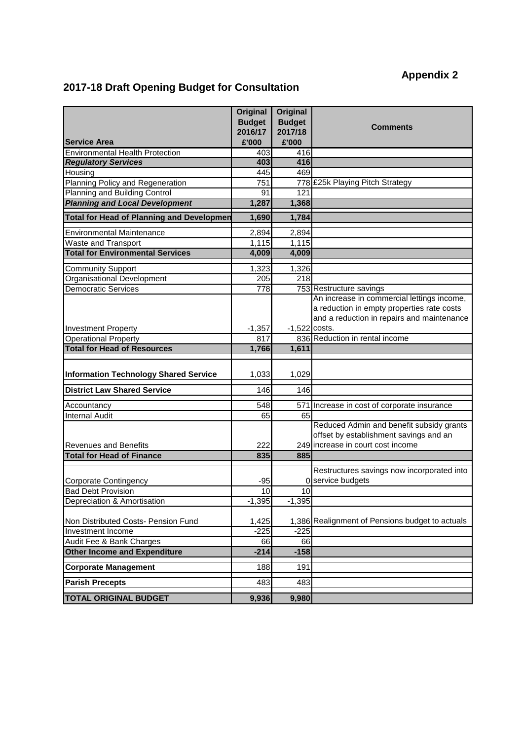# **2017-18 Draft Opening Budget for Consultation**

|                                                        | <b>Original</b><br><b>Budget</b> | <b>Original</b><br><b>Budget</b> |                                                                                    |
|--------------------------------------------------------|----------------------------------|----------------------------------|------------------------------------------------------------------------------------|
|                                                        | 2016/17                          | 2017/18                          | <b>Comments</b>                                                                    |
| Service Area                                           | £'000                            | £'000                            |                                                                                    |
| <b>Environmental Health Protection</b>                 | 403                              | 416                              |                                                                                    |
| <b>Regulatory Services</b>                             | 403                              | 416                              |                                                                                    |
| Housing                                                | 445                              | 469                              |                                                                                    |
| Planning Policy and Regeneration                       | 751                              |                                  | 778 £25k Playing Pitch Strategy                                                    |
| Planning and Building Control                          | 91                               | 121                              |                                                                                    |
| <b>Planning and Local Development</b>                  | 1,287                            | 1,368                            |                                                                                    |
| <b>Total for Head of Planning and Developmen</b>       | 1,690                            | 1,784                            |                                                                                    |
| <b>Environmental Maintenance</b>                       | 2,894                            | 2,894                            |                                                                                    |
| Waste and Transport                                    | 1,115                            | 1,115                            |                                                                                    |
| <b>Total for Environmental Services</b>                | 4,009                            | 4,009                            |                                                                                    |
|                                                        |                                  |                                  |                                                                                    |
| <b>Community Support</b><br>Organisational Development | 1,323<br>205                     | 1,326<br>218                     |                                                                                    |
| <b>Democratic Services</b>                             | 778                              |                                  | 753 Restructure savings                                                            |
|                                                        |                                  |                                  | An increase in commercial lettings income,                                         |
|                                                        |                                  |                                  | a reduction in empty properties rate costs                                         |
|                                                        |                                  |                                  | and a reduction in repairs and maintenance                                         |
| <b>Investment Property</b>                             | $-1,357$                         | $-1,522$ costs.                  |                                                                                    |
| <b>Operational Property</b>                            | 817                              |                                  | 836 Reduction in rental income                                                     |
| <b>Total for Head of Resources</b>                     | 1,766                            | 1,611                            |                                                                                    |
|                                                        |                                  |                                  |                                                                                    |
| <b>Information Technology Shared Service</b>           | 1,033                            | 1,029                            |                                                                                    |
| <b>District Law Shared Service</b>                     | 146                              | 146                              |                                                                                    |
| Accountancy                                            | 548                              |                                  | 571 Increase in cost of corporate insurance                                        |
| <b>Internal Audit</b>                                  | 65                               | 65                               |                                                                                    |
|                                                        |                                  |                                  | Reduced Admin and benefit subsidy grants<br>offset by establishment savings and an |
| <b>Revenues and Benefits</b>                           | 222                              |                                  | 249 increase in court cost income                                                  |
| <b>Total for Head of Finance</b>                       | 835                              | 885                              |                                                                                    |
|                                                        |                                  |                                  |                                                                                    |
| Corporate Contingency                                  | $-95$                            |                                  | Restructures savings now incorporated into<br>0 service budgets                    |
| <b>Bad Debt Provision</b>                              | 10                               | 10                               |                                                                                    |
| Depreciation & Amortisation                            | $-1,395$                         | $-1,395$                         |                                                                                    |
|                                                        |                                  |                                  |                                                                                    |
| Non Distributed Costs- Pension Fund                    | 1,425                            |                                  | 1,386 Realignment of Pensions budget to actuals                                    |
| Investment Income                                      | $-225$                           | $-225$                           |                                                                                    |
| Audit Fee & Bank Charges                               | 66                               | 66                               |                                                                                    |
| <b>Other Income and Expenditure</b>                    | $-214$                           | $-158$                           |                                                                                    |
| <b>Corporate Management</b>                            | 188                              | 191                              |                                                                                    |
| <b>Parish Precepts</b>                                 | 483                              | 483                              |                                                                                    |
|                                                        |                                  |                                  |                                                                                    |
| <b>TOTAL ORIGINAL BUDGET</b>                           | 9,936                            | 9,980                            |                                                                                    |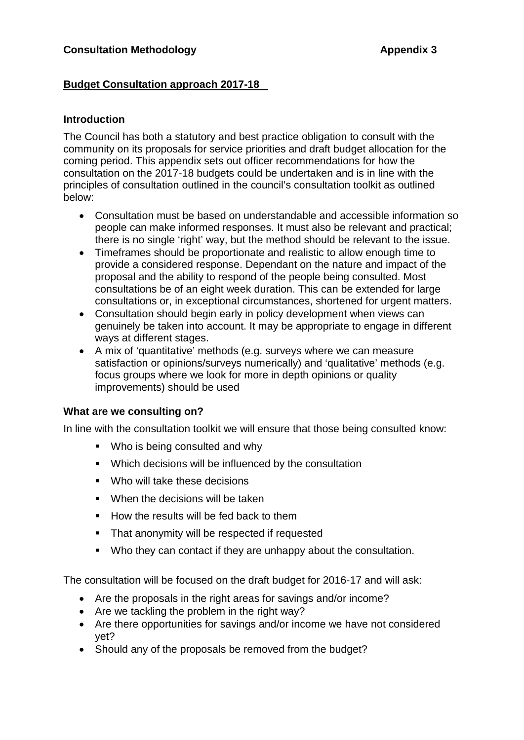# **Budget Consultation approach 2017-18**

# **Introduction**

The Council has both a statutory and best practice obligation to consult with the community on its proposals for service priorities and draft budget allocation for the coming period. This appendix sets out officer recommendations for how the consultation on the 2017-18 budgets could be undertaken and is in line with the principles of consultation outlined in the council's consultation toolkit as outlined below:

- Consultation must be based on understandable and accessible information so people can make informed responses. It must also be relevant and practical; there is no single 'right' way, but the method should be relevant to the issue.
- Timeframes should be proportionate and realistic to allow enough time to provide a considered response. Dependant on the nature and impact of the proposal and the ability to respond of the people being consulted. Most consultations be of an eight week duration. This can be extended for large consultations or, in exceptional circumstances, shortened for urgent matters.
- Consultation should begin early in policy development when views can genuinely be taken into account. It may be appropriate to engage in different ways at different stages.
- A mix of 'quantitative' methods (e.g. surveys where we can measure satisfaction or opinions/surveys numerically) and 'qualitative' methods (e.g. focus groups where we look for more in depth opinions or quality improvements) should be used

# **What are we consulting on?**

In line with the consultation toolkit we will ensure that those being consulted know:

- **Who is being consulted and why**
- Which decisions will be influenced by the consultation
- **Who will take these decisions**
- When the decisions will be taken
- $\blacksquare$  How the results will be fed back to them
- **That anonymity will be respected if requested**
- Who they can contact if they are unhappy about the consultation.

The consultation will be focused on the draft budget for 2016-17 and will ask:

- Are the proposals in the right areas for savings and/or income?
- Are we tackling the problem in the right way?
- Are there opportunities for savings and/or income we have not considered yet?
- Should any of the proposals be removed from the budget?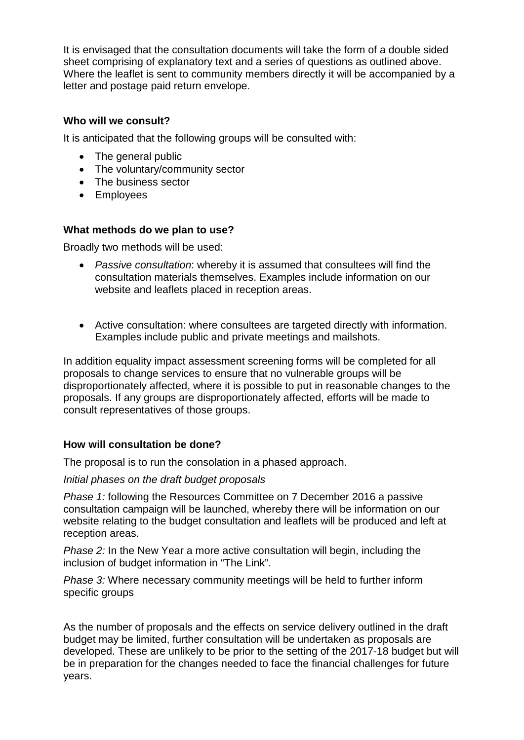It is envisaged that the consultation documents will take the form of a double sided sheet comprising of explanatory text and a series of questions as outlined above. Where the leaflet is sent to community members directly it will be accompanied by a letter and postage paid return envelope.

# **Who will we consult?**

It is anticipated that the following groups will be consulted with:

- The general public
- The voluntary/community sector
- The business sector
- Employees

# **What methods do we plan to use?**

Broadly two methods will be used:

- *Passive consultation*: whereby it is assumed that consultees will find the consultation materials themselves. Examples include information on our website and leaflets placed in reception areas.
- Active consultation: where consultees are targeted directly with information. Examples include public and private meetings and mailshots.

In addition equality impact assessment screening forms will be completed for all proposals to change services to ensure that no vulnerable groups will be disproportionately affected, where it is possible to put in reasonable changes to the proposals. If any groups are disproportionately affected, efforts will be made to consult representatives of those groups.

# **How will consultation be done?**

The proposal is to run the consolation in a phased approach.

*Initial phases on the draft budget proposals*

*Phase 1:* following the Resources Committee on 7 December 2016 a passive consultation campaign will be launched, whereby there will be information on our website relating to the budget consultation and leaflets will be produced and left at reception areas.

*Phase 2:* In the New Year a more active consultation will begin, including the inclusion of budget information in "The Link".

*Phase 3:* Where necessary community meetings will be held to further inform specific groups

As the number of proposals and the effects on service delivery outlined in the draft budget may be limited, further consultation will be undertaken as proposals are developed. These are unlikely to be prior to the setting of the 2017-18 budget but will be in preparation for the changes needed to face the financial challenges for future years.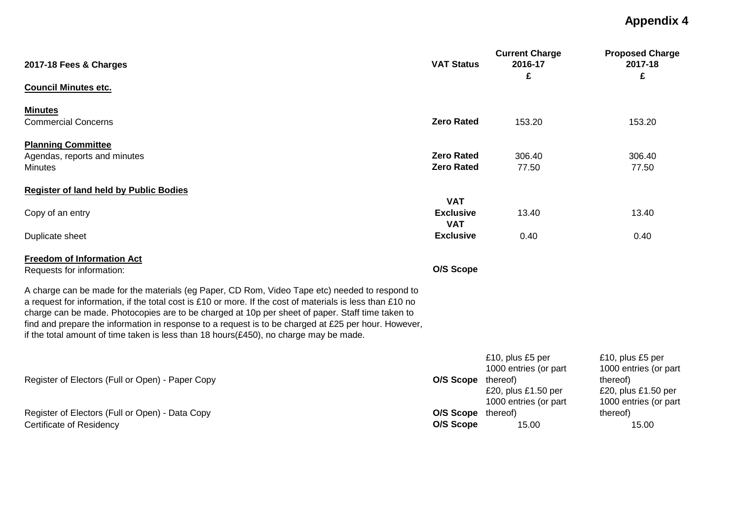| 2017-18 Fees & Charges                                                                                                                                                                                                                                                                                                                                                                                                                                                                                               | <b>VAT Status</b>                            | <b>Current Charge</b><br>2016-17<br>£                                                                 | <b>Proposed Charge</b><br>2017-18<br>£                                                                |
|----------------------------------------------------------------------------------------------------------------------------------------------------------------------------------------------------------------------------------------------------------------------------------------------------------------------------------------------------------------------------------------------------------------------------------------------------------------------------------------------------------------------|----------------------------------------------|-------------------------------------------------------------------------------------------------------|-------------------------------------------------------------------------------------------------------|
| <b>Council Minutes etc.</b>                                                                                                                                                                                                                                                                                                                                                                                                                                                                                          |                                              |                                                                                                       |                                                                                                       |
| <b>Minutes</b><br><b>Commercial Concerns</b>                                                                                                                                                                                                                                                                                                                                                                                                                                                                         | <b>Zero Rated</b>                            | 153.20                                                                                                | 153.20                                                                                                |
| <b>Planning Committee</b><br>Agendas, reports and minutes<br><b>Minutes</b>                                                                                                                                                                                                                                                                                                                                                                                                                                          | <b>Zero Rated</b><br><b>Zero Rated</b>       | 306.40<br>77.50                                                                                       | 306.40<br>77.50                                                                                       |
| <b>Register of land held by Public Bodies</b>                                                                                                                                                                                                                                                                                                                                                                                                                                                                        |                                              |                                                                                                       |                                                                                                       |
| Copy of an entry                                                                                                                                                                                                                                                                                                                                                                                                                                                                                                     | <b>VAT</b><br><b>Exclusive</b><br><b>VAT</b> | 13.40                                                                                                 | 13.40                                                                                                 |
| Duplicate sheet                                                                                                                                                                                                                                                                                                                                                                                                                                                                                                      | <b>Exclusive</b>                             | 0.40                                                                                                  | 0.40                                                                                                  |
| <b>Freedom of Information Act</b><br>Requests for information:                                                                                                                                                                                                                                                                                                                                                                                                                                                       | O/S Scope                                    |                                                                                                       |                                                                                                       |
| A charge can be made for the materials (eg Paper, CD Rom, Video Tape etc) needed to respond to<br>a request for information, if the total cost is £10 or more. If the cost of materials is less than £10 no<br>charge can be made. Photocopies are to be charged at 10p per sheet of paper. Staff time taken to<br>find and prepare the information in response to a request is to be charged at £25 per hour. However,<br>if the total amount of time taken is less than 18 hours( $£450$ ), no charge may be made. |                                              |                                                                                                       |                                                                                                       |
| Register of Electors (Full or Open) - Paper Copy                                                                                                                                                                                                                                                                                                                                                                                                                                                                     | O/S Scope                                    | £10, plus £5 per<br>1000 entries (or part<br>thereof)<br>£20, plus £1.50 per<br>1000 entries (or part | £10, plus £5 per<br>1000 entries (or part<br>thereof)<br>£20, plus £1.50 per<br>1000 entries (or part |
| Register of Electors (Full or Open) - Data Copy<br><b>Certificate of Residency</b>                                                                                                                                                                                                                                                                                                                                                                                                                                   | O/S Scope<br>O/S Scope                       | thereof)<br>15.00                                                                                     | thereof)<br>15.00                                                                                     |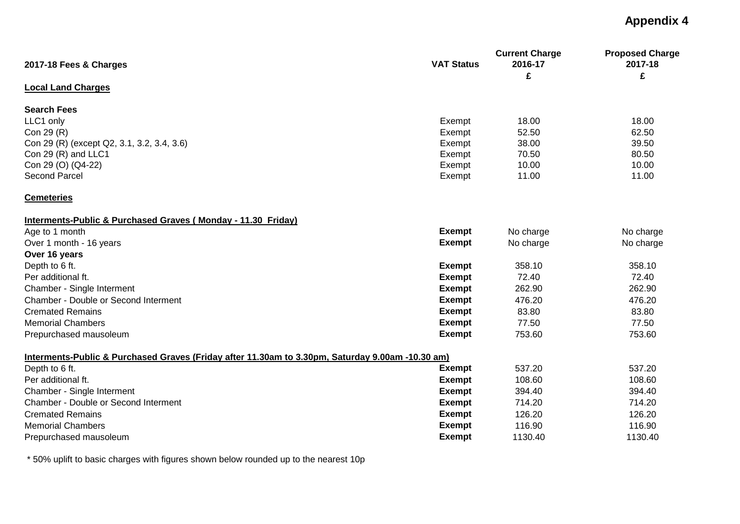| 2017-18 Fees & Charges                                                                           | <b>VAT Status</b> | <b>Current Charge</b><br>2016-17 | <b>Proposed Charge</b><br>2017-18 |  |
|--------------------------------------------------------------------------------------------------|-------------------|----------------------------------|-----------------------------------|--|
|                                                                                                  |                   | £                                | £                                 |  |
| <b>Local Land Charges</b>                                                                        |                   |                                  |                                   |  |
| <b>Search Fees</b>                                                                               |                   |                                  |                                   |  |
| LLC1 only                                                                                        | Exempt            | 18.00                            | 18.00                             |  |
| Con 29 (R)                                                                                       | Exempt            | 52.50                            | 62.50                             |  |
| Con 29 (R) (except Q2, 3.1, 3.2, 3.4, 3.6)                                                       | Exempt            | 38.00                            | 39.50                             |  |
| Con 29 (R) and LLC1                                                                              | Exempt            | 70.50                            | 80.50                             |  |
| Con 29 (O) (Q4-22)                                                                               | Exempt            | 10.00                            | 10.00                             |  |
| <b>Second Parcel</b>                                                                             | Exempt            | 11.00                            | 11.00                             |  |
| <b>Cemeteries</b>                                                                                |                   |                                  |                                   |  |
| Interments-Public & Purchased Graves (Monday - 11.30 Friday)                                     |                   |                                  |                                   |  |
| Age to 1 month                                                                                   | <b>Exempt</b>     | No charge                        | No charge                         |  |
| Over 1 month - 16 years                                                                          | <b>Exempt</b>     | No charge                        | No charge                         |  |
| Over 16 years                                                                                    |                   |                                  |                                   |  |
| Depth to 6 ft.                                                                                   | <b>Exempt</b>     | 358.10                           | 358.10                            |  |
| Per additional ft.                                                                               | <b>Exempt</b>     | 72.40                            | 72.40                             |  |
| Chamber - Single Interment                                                                       | <b>Exempt</b>     | 262.90                           | 262.90                            |  |
| Chamber - Double or Second Interment                                                             | <b>Exempt</b>     | 476.20                           | 476.20                            |  |
| <b>Cremated Remains</b>                                                                          | <b>Exempt</b>     | 83.80                            | 83.80                             |  |
| <b>Memorial Chambers</b>                                                                         | <b>Exempt</b>     | 77.50                            | 77.50                             |  |
| Prepurchased mausoleum                                                                           | <b>Exempt</b>     | 753.60                           | 753.60                            |  |
| Interments-Public & Purchased Graves (Friday after 11.30am to 3.30pm, Saturday 9.00am -10.30 am) |                   |                                  |                                   |  |
| Depth to 6 ft.                                                                                   | <b>Exempt</b>     | 537.20                           | 537.20                            |  |
| Per additional ft.                                                                               | <b>Exempt</b>     | 108.60                           | 108.60                            |  |
| Chamber - Single Interment                                                                       | <b>Exempt</b>     | 394.40                           | 394.40                            |  |
| Chamber - Double or Second Interment                                                             | <b>Exempt</b>     | 714.20                           | 714.20                            |  |
| <b>Cremated Remains</b>                                                                          | <b>Exempt</b>     | 126.20                           | 126.20                            |  |
| <b>Memorial Chambers</b>                                                                         | <b>Exempt</b>     | 116.90                           | 116.90                            |  |
| Prepurchased mausoleum                                                                           | <b>Exempt</b>     | 1130.40                          | 1130.40                           |  |
|                                                                                                  |                   |                                  |                                   |  |

\* 50% uplift to basic charges with figures shown below rounded up to the nearest 10p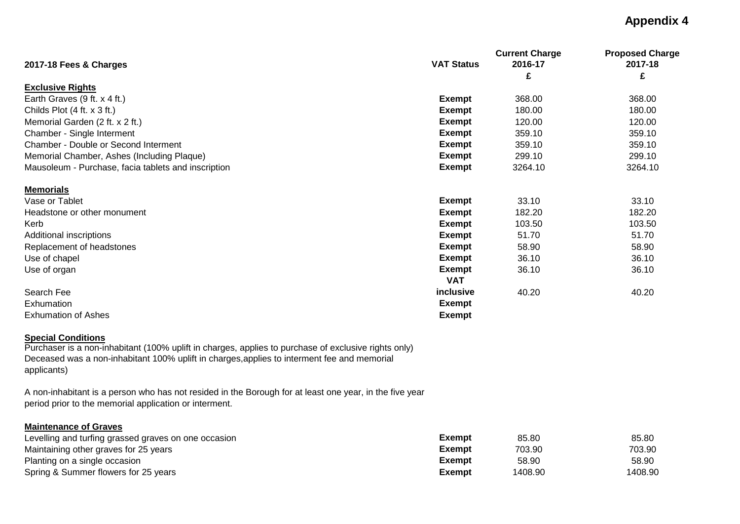| 2017-18 Fees & Charges                              | <b>VAT Status</b> | <b>Current Charge</b><br>2016-17 | <b>Proposed Charge</b><br>2017-18 |
|-----------------------------------------------------|-------------------|----------------------------------|-----------------------------------|
|                                                     |                   | £                                | £                                 |
| <b>Exclusive Rights</b>                             |                   |                                  |                                   |
| Earth Graves (9 ft. x 4 ft.)                        | <b>Exempt</b>     | 368.00                           | 368.00                            |
| Childs Plot $(4 ft. x 3 ft.)$                       | <b>Exempt</b>     | 180.00                           | 180.00                            |
| Memorial Garden (2 ft. x 2 ft.)                     | <b>Exempt</b>     | 120.00                           | 120.00                            |
| Chamber - Single Interment                          | Exempt            | 359.10                           | 359.10                            |
| Chamber - Double or Second Interment                | <b>Exempt</b>     | 359.10                           | 359.10                            |
| Memorial Chamber, Ashes (Including Plaque)          | Exempt            | 299.10                           | 299.10                            |
| Mausoleum - Purchase, facia tablets and inscription | <b>Exempt</b>     | 3264.10                          | 3264.10                           |
| <b>Memorials</b>                                    |                   |                                  |                                   |
| Vase or Tablet                                      | <b>Exempt</b>     | 33.10                            | 33.10                             |
| Headstone or other monument                         | <b>Exempt</b>     | 182.20                           | 182.20                            |
| Kerb                                                | Exempt            | 103.50                           | 103.50                            |
| Additional inscriptions                             | <b>Exempt</b>     | 51.70                            | 51.70                             |
| Replacement of headstones                           | Exempt            | 58.90                            | 58.90                             |
| Use of chapel                                       | <b>Exempt</b>     | 36.10                            | 36.10                             |
| Use of organ                                        | <b>Exempt</b>     | 36.10                            | 36.10                             |
|                                                     | <b>VAT</b>        |                                  |                                   |
| Search Fee                                          | inclusive         | 40.20                            | 40.20                             |
| Exhumation                                          | <b>Exempt</b>     |                                  |                                   |
| <b>Exhumation of Ashes</b>                          | <b>Exempt</b>     |                                  |                                   |
| <b>Special Conditions</b>                           |                   |                                  |                                   |

Purchaser is a non-inhabitant (100% uplift in charges, applies to purchase of exclusive rights only) Deceased was a non-inhabitant 100% uplift in charges,applies to interment fee and memorial applicants)

A non-inhabitant is a person who has not resided in the Borough for at least one year, in the five year period prior to the memorial application or interment.

## **Maintenance of Graves**

| Levelling and turfing grassed graves on one occasion | Exempt        | 85.80   | 85.80   |
|------------------------------------------------------|---------------|---------|---------|
| Maintaining other graves for 25 years                | Exempt        | 703.90  | 703.90  |
| Planting on a single occasion                        | <b>Exempt</b> | 58.90   | 58.90   |
| Spring & Summer flowers for 25 years                 | Exempt        | 1408.90 | 1408.90 |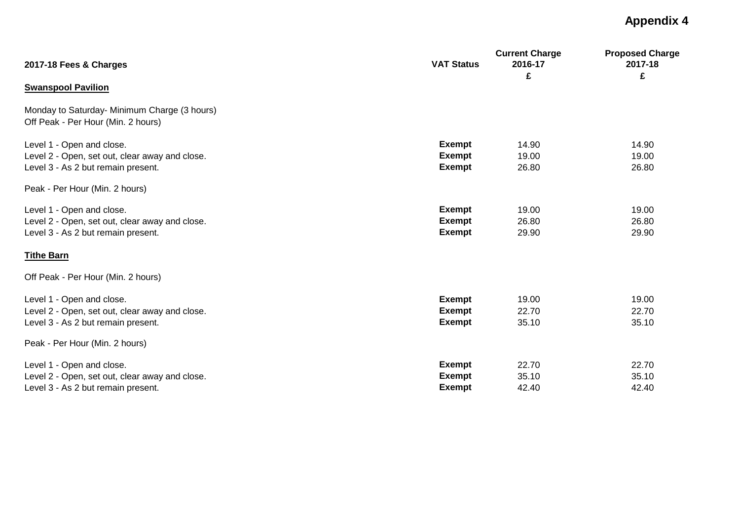| 2017-18 Fees & Charges                                                                                            | <b>VAT Status</b>                               | <b>Current Charge</b><br>2016-17<br>£ | <b>Proposed Charge</b><br>2017-18<br>£ |
|-------------------------------------------------------------------------------------------------------------------|-------------------------------------------------|---------------------------------------|----------------------------------------|
| <b>Swanspool Pavilion</b>                                                                                         |                                                 |                                       |                                        |
| Monday to Saturday- Minimum Charge (3 hours)<br>Off Peak - Per Hour (Min. 2 hours)                                |                                                 |                                       |                                        |
| Level 1 - Open and close.<br>Level 2 - Open, set out, clear away and close.<br>Level 3 - As 2 but remain present. | <b>Exempt</b><br><b>Exempt</b><br><b>Exempt</b> | 14.90<br>19.00<br>26.80               | 14.90<br>19.00<br>26.80                |
| Peak - Per Hour (Min. 2 hours)                                                                                    |                                                 |                                       |                                        |
| Level 1 - Open and close.<br>Level 2 - Open, set out, clear away and close.<br>Level 3 - As 2 but remain present. | <b>Exempt</b><br><b>Exempt</b><br><b>Exempt</b> | 19.00<br>26.80<br>29.90               | 19.00<br>26.80<br>29.90                |
| <b>Tithe Barn</b>                                                                                                 |                                                 |                                       |                                        |
| Off Peak - Per Hour (Min. 2 hours)                                                                                |                                                 |                                       |                                        |
| Level 1 - Open and close.<br>Level 2 - Open, set out, clear away and close.<br>Level 3 - As 2 but remain present. | <b>Exempt</b><br>Exempt<br>Exempt               | 19.00<br>22.70<br>35.10               | 19.00<br>22.70<br>35.10                |
| Peak - Per Hour (Min. 2 hours)                                                                                    |                                                 |                                       |                                        |
| Level 1 - Open and close.<br>Level 2 - Open, set out, clear away and close.<br>Level 3 - As 2 but remain present. | <b>Exempt</b><br><b>Exempt</b><br><b>Exempt</b> | 22.70<br>35.10<br>42.40               | 22.70<br>35.10<br>42.40                |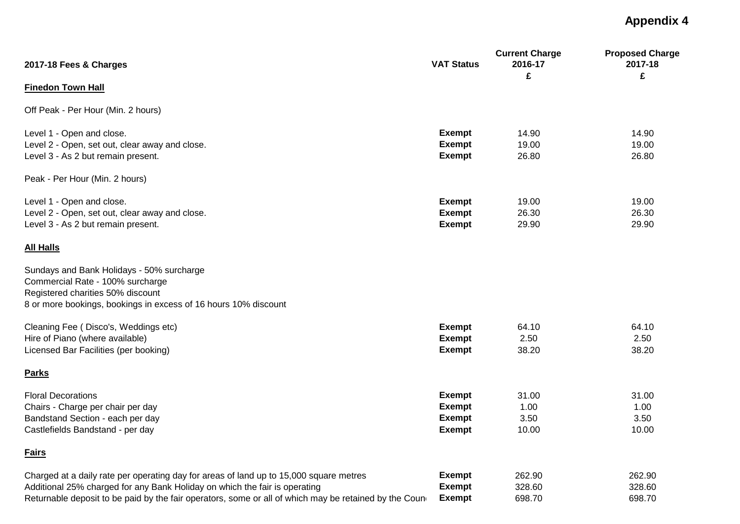| 2017-18 Fees & Charges                                                                                 | <b>VAT Status</b>              | <b>Current Charge</b><br>2016-17<br>£ | <b>Proposed Charge</b><br>2017-18<br>£ |
|--------------------------------------------------------------------------------------------------------|--------------------------------|---------------------------------------|----------------------------------------|
| <b>Finedon Town Hall</b>                                                                               |                                |                                       |                                        |
| Off Peak - Per Hour (Min. 2 hours)                                                                     |                                |                                       |                                        |
| Level 1 - Open and close.                                                                              | <b>Exempt</b>                  | 14.90                                 | 14.90                                  |
| Level 2 - Open, set out, clear away and close.<br>Level 3 - As 2 but remain present.                   | <b>Exempt</b><br><b>Exempt</b> | 19.00<br>26.80                        | 19.00<br>26.80                         |
| Peak - Per Hour (Min. 2 hours)                                                                         |                                |                                       |                                        |
| Level 1 - Open and close.                                                                              | <b>Exempt</b>                  | 19.00                                 | 19.00                                  |
| Level 2 - Open, set out, clear away and close.                                                         | <b>Exempt</b>                  | 26.30                                 | 26.30                                  |
| Level 3 - As 2 but remain present.                                                                     | <b>Exempt</b>                  | 29.90                                 | 29.90                                  |
| <b>All Halls</b>                                                                                       |                                |                                       |                                        |
| Sundays and Bank Holidays - 50% surcharge                                                              |                                |                                       |                                        |
| Commercial Rate - 100% surcharge                                                                       |                                |                                       |                                        |
| Registered charities 50% discount                                                                      |                                |                                       |                                        |
| 8 or more bookings, bookings in excess of 16 hours 10% discount                                        |                                |                                       |                                        |
| Cleaning Fee (Disco's, Weddings etc)                                                                   | <b>Exempt</b>                  | 64.10                                 | 64.10                                  |
| Hire of Piano (where available)                                                                        | <b>Exempt</b>                  | 2.50                                  | 2.50                                   |
| Licensed Bar Facilities (per booking)                                                                  | <b>Exempt</b>                  | 38.20                                 | 38.20                                  |
| <b>Parks</b>                                                                                           |                                |                                       |                                        |
| <b>Floral Decorations</b>                                                                              | <b>Exempt</b>                  | 31.00                                 | 31.00                                  |
| Chairs - Charge per chair per day                                                                      | <b>Exempt</b>                  | 1.00                                  | 1.00                                   |
| Bandstand Section - each per day                                                                       | <b>Exempt</b>                  | 3.50                                  | 3.50                                   |
| Castlefields Bandstand - per day                                                                       | <b>Exempt</b>                  | 10.00                                 | 10.00                                  |
| <b>Fairs</b>                                                                                           |                                |                                       |                                        |
| Charged at a daily rate per operating day for areas of land up to 15,000 square metres                 | <b>Exempt</b>                  | 262.90                                | 262.90                                 |
| Additional 25% charged for any Bank Holiday on which the fair is operating                             | <b>Exempt</b>                  | 328.60                                | 328.60                                 |
| Returnable deposit to be paid by the fair operators, some or all of which may be retained by the Coune | <b>Exempt</b>                  | 698.70                                | 698.70                                 |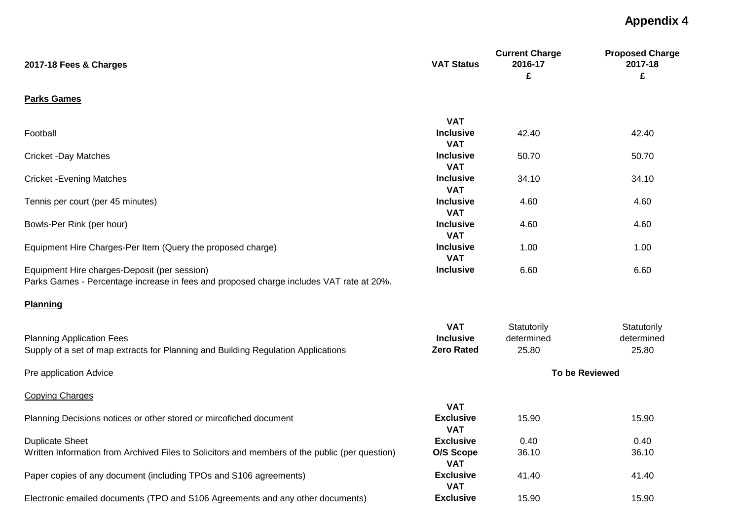| 2017-18 Fees & Charges                                                                                                                  | <b>VAT Status</b>                                   | <b>Current Charge</b><br>2016-17<br>£ | <b>Proposed Charge</b><br>2017-18<br>£ |
|-----------------------------------------------------------------------------------------------------------------------------------------|-----------------------------------------------------|---------------------------------------|----------------------------------------|
| <b>Parks Games</b>                                                                                                                      |                                                     |                                       |                                        |
|                                                                                                                                         | <b>VAT</b>                                          |                                       |                                        |
| Football                                                                                                                                | <b>Inclusive</b><br><b>VAT</b>                      | 42.40                                 | 42.40                                  |
| <b>Cricket -Day Matches</b>                                                                                                             | <b>Inclusive</b><br><b>VAT</b>                      | 50.70                                 | 50.70                                  |
| <b>Cricket - Evening Matches</b>                                                                                                        | <b>Inclusive</b><br><b>VAT</b>                      | 34.10                                 | 34.10                                  |
| Tennis per court (per 45 minutes)                                                                                                       | <b>Inclusive</b><br><b>VAT</b>                      | 4.60                                  | 4.60                                   |
| Bowls-Per Rink (per hour)                                                                                                               | <b>Inclusive</b><br><b>VAT</b>                      | 4.60                                  | 4.60                                   |
| Equipment Hire Charges-Per Item (Query the proposed charge)                                                                             | <b>Inclusive</b><br><b>VAT</b>                      | 1.00                                  | 1.00                                   |
| Equipment Hire charges-Deposit (per session)<br>Parks Games - Percentage increase in fees and proposed charge includes VAT rate at 20%. | <b>Inclusive</b>                                    | 6.60                                  | 6.60                                   |
| <b>Planning</b>                                                                                                                         |                                                     |                                       |                                        |
| <b>Planning Application Fees</b><br>Supply of a set of map extracts for Planning and Building Regulation Applications                   | <b>VAT</b><br><b>Inclusive</b><br><b>Zero Rated</b> | Statutorily<br>determined<br>25.80    | Statutorily<br>determined<br>25.80     |
| Pre application Advice                                                                                                                  |                                                     |                                       | <b>To be Reviewed</b>                  |
| <b>Copying Charges</b>                                                                                                                  |                                                     |                                       |                                        |
| Planning Decisions notices or other stored or mircofiched document                                                                      | <b>VAT</b><br><b>Exclusive</b><br><b>VAT</b>        | 15.90                                 | 15.90                                  |
| <b>Duplicate Sheet</b>                                                                                                                  | <b>Exclusive</b>                                    | 0.40                                  | 0.40                                   |
| Written Information from Archived Files to Solicitors and members of the public (per question)                                          | O/S Scope<br><b>VAT</b>                             | 36.10                                 | 36.10                                  |
| Paper copies of any document (including TPOs and S106 agreements)                                                                       | <b>Exclusive</b><br><b>VAT</b>                      | 41.40                                 | 41.40                                  |
| Electronic emailed documents (TPO and S106 Agreements and any other documents)                                                          | <b>Exclusive</b>                                    | 15.90                                 | 15.90                                  |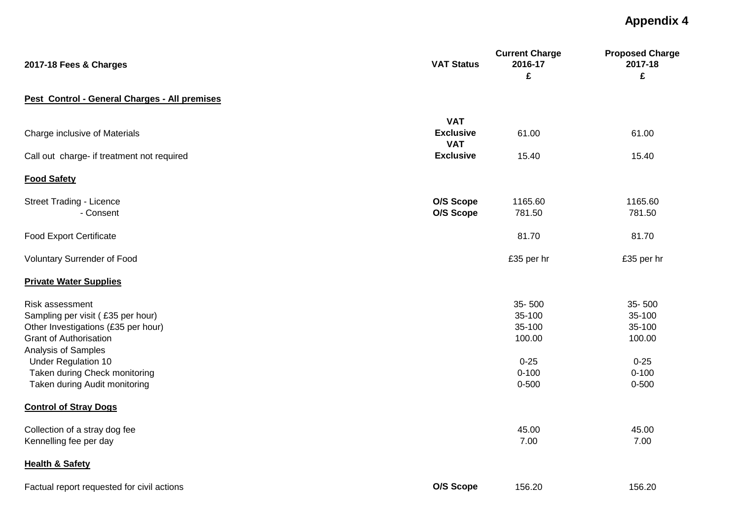| 2017-18 Fees & Charges                                                                                                                                                                                                                              | <b>VAT Status</b>              | <b>Current Charge</b><br>2016-17<br>£                                      | <b>Proposed Charge</b><br>2017-18<br>£                                     |
|-----------------------------------------------------------------------------------------------------------------------------------------------------------------------------------------------------------------------------------------------------|--------------------------------|----------------------------------------------------------------------------|----------------------------------------------------------------------------|
| Pest Control - General Charges - All premises                                                                                                                                                                                                       |                                |                                                                            |                                                                            |
| Charge inclusive of Materials                                                                                                                                                                                                                       | <b>VAT</b><br><b>Exclusive</b> | 61.00                                                                      | 61.00                                                                      |
| Call out charge- if treatment not required                                                                                                                                                                                                          | <b>VAT</b><br><b>Exclusive</b> | 15.40                                                                      | 15.40                                                                      |
| <b>Food Safety</b>                                                                                                                                                                                                                                  |                                |                                                                            |                                                                            |
| <b>Street Trading - Licence</b><br>- Consent                                                                                                                                                                                                        | O/S Scope<br>O/S Scope         | 1165.60<br>781.50                                                          | 1165.60<br>781.50                                                          |
| <b>Food Export Certificate</b>                                                                                                                                                                                                                      |                                | 81.70                                                                      | 81.70                                                                      |
| Voluntary Surrender of Food                                                                                                                                                                                                                         |                                | £35 per hr                                                                 | £35 per hr                                                                 |
| <b>Private Water Supplies</b>                                                                                                                                                                                                                       |                                |                                                                            |                                                                            |
| Risk assessment<br>Sampling per visit (£35 per hour)<br>Other Investigations (£35 per hour)<br><b>Grant of Authorisation</b><br>Analysis of Samples<br><b>Under Regulation 10</b><br>Taken during Check monitoring<br>Taken during Audit monitoring |                                | 35-500<br>35-100<br>35-100<br>100.00<br>$0 - 25$<br>$0 - 100$<br>$0 - 500$ | 35-500<br>35-100<br>35-100<br>100.00<br>$0 - 25$<br>$0 - 100$<br>$0 - 500$ |
| <b>Control of Stray Dogs</b>                                                                                                                                                                                                                        |                                |                                                                            |                                                                            |
| Collection of a stray dog fee<br>Kennelling fee per day                                                                                                                                                                                             |                                | 45.00<br>7.00                                                              | 45.00<br>7.00                                                              |
| <b>Health &amp; Safety</b>                                                                                                                                                                                                                          |                                |                                                                            |                                                                            |
| Factual report requested for civil actions                                                                                                                                                                                                          | O/S Scope                      | 156.20                                                                     | 156.20                                                                     |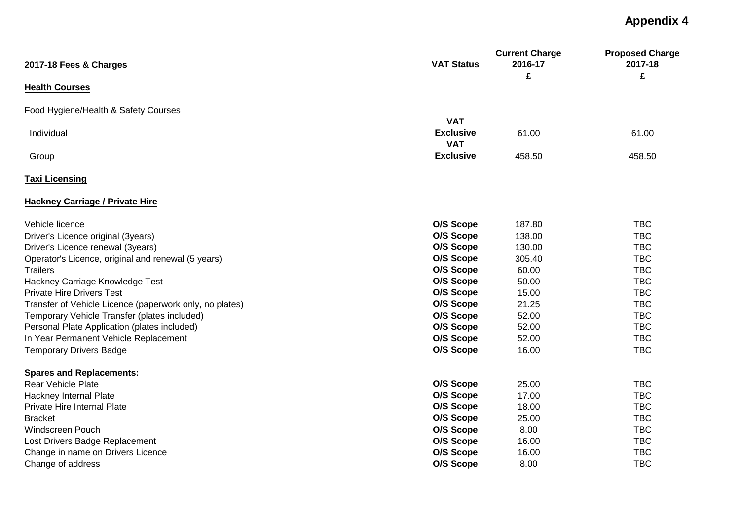| 2017-18 Fees & Charges                                  | <b>VAT Status</b> | <b>Current Charge</b><br>2016-17 | <b>Proposed Charge</b><br>2017-18 |
|---------------------------------------------------------|-------------------|----------------------------------|-----------------------------------|
| <b>Health Courses</b>                                   |                   | £                                | £                                 |
| Food Hygiene/Health & Safety Courses                    |                   |                                  |                                   |
|                                                         | <b>VAT</b>        |                                  |                                   |
| Individual                                              | <b>Exclusive</b>  | 61.00                            | 61.00                             |
|                                                         | <b>VAT</b>        |                                  |                                   |
| Group                                                   | <b>Exclusive</b>  | 458.50                           | 458.50                            |
| <b>Taxi Licensing</b>                                   |                   |                                  |                                   |
| <b>Hackney Carriage / Private Hire</b>                  |                   |                                  |                                   |
| Vehicle licence                                         | O/S Scope         | 187.80                           | <b>TBC</b>                        |
| Driver's Licence original (3years)                      | O/S Scope         | 138.00                           | <b>TBC</b>                        |
| Driver's Licence renewal (3years)                       | O/S Scope         | 130.00                           | <b>TBC</b>                        |
| Operator's Licence, original and renewal (5 years)      | O/S Scope         | 305.40                           | <b>TBC</b>                        |
| <b>Trailers</b>                                         | O/S Scope         | 60.00                            | <b>TBC</b>                        |
| Hackney Carriage Knowledge Test                         | O/S Scope         | 50.00                            | <b>TBC</b>                        |
| <b>Private Hire Drivers Test</b>                        | O/S Scope         | 15.00                            | <b>TBC</b>                        |
| Transfer of Vehicle Licence (paperwork only, no plates) | O/S Scope         | 21.25                            | <b>TBC</b>                        |
| Temporary Vehicle Transfer (plates included)            | O/S Scope         | 52.00                            | <b>TBC</b>                        |
| Personal Plate Application (plates included)            | O/S Scope         | 52.00                            | <b>TBC</b>                        |
| In Year Permanent Vehicle Replacement                   | O/S Scope         | 52.00                            | <b>TBC</b>                        |
| <b>Temporary Drivers Badge</b>                          | O/S Scope         | 16.00                            | <b>TBC</b>                        |
| <b>Spares and Replacements:</b>                         |                   |                                  |                                   |
| <b>Rear Vehicle Plate</b>                               | O/S Scope         | 25.00                            | <b>TBC</b>                        |
| Hackney Internal Plate                                  | O/S Scope         | 17.00                            | <b>TBC</b>                        |
| Private Hire Internal Plate                             | O/S Scope         | 18.00                            | <b>TBC</b>                        |
| <b>Bracket</b>                                          | O/S Scope         | 25.00                            | <b>TBC</b>                        |
| Windscreen Pouch                                        | O/S Scope         | 8.00                             | <b>TBC</b>                        |
| Lost Drivers Badge Replacement                          | O/S Scope         | 16.00                            | <b>TBC</b>                        |
| Change in name on Drivers Licence                       | O/S Scope         | 16.00                            | <b>TBC</b>                        |
| Change of address                                       | O/S Scope         | 8.00                             | <b>TBC</b>                        |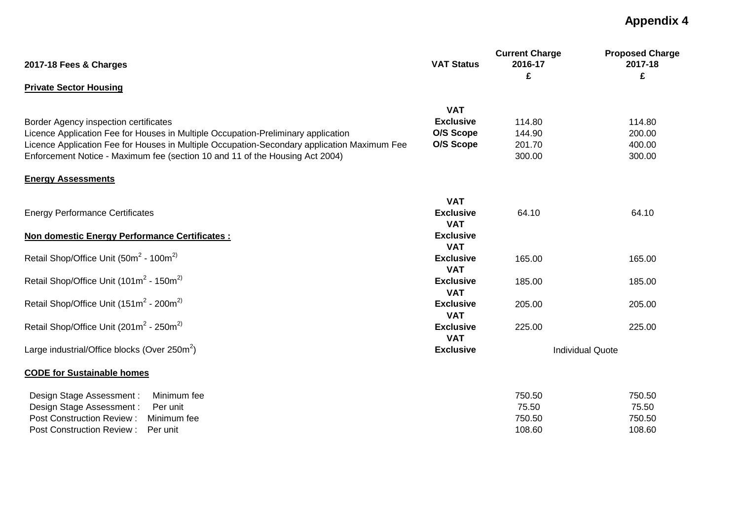| 2017-18 Fees & Charges                                                                      | <b>VAT Status</b>              | <b>Current Charge</b><br>2016-17 | <b>Proposed Charge</b><br>2017-18 |
|---------------------------------------------------------------------------------------------|--------------------------------|----------------------------------|-----------------------------------|
| <b>Private Sector Housing</b>                                                               |                                | £                                | £                                 |
|                                                                                             |                                |                                  |                                   |
|                                                                                             | <b>VAT</b>                     |                                  |                                   |
| Border Agency inspection certificates                                                       | <b>Exclusive</b>               | 114.80                           | 114.80                            |
| Licence Application Fee for Houses in Multiple Occupation-Preliminary application           | O/S Scope                      | 144.90                           | 200.00                            |
| Licence Application Fee for Houses in Multiple Occupation-Secondary application Maximum Fee | O/S Scope                      | 201.70                           | 400.00                            |
| Enforcement Notice - Maximum fee (section 10 and 11 of the Housing Act 2004)                |                                | 300.00                           | 300.00                            |
| <b>Energy Assessments</b>                                                                   |                                |                                  |                                   |
|                                                                                             | <b>VAT</b>                     |                                  |                                   |
| <b>Energy Performance Certificates</b>                                                      | <b>Exclusive</b><br><b>VAT</b> | 64.10                            | 64.10                             |
| <b>Non domestic Energy Performance Certificates:</b>                                        | <b>Exclusive</b><br><b>VAT</b> |                                  |                                   |
| Retail Shop/Office Unit (50m <sup>2</sup> - 100m <sup>2)</sup>                              | <b>Exclusive</b><br><b>VAT</b> | 165.00                           | 165.00                            |
| Retail Shop/Office Unit (101m <sup>2</sup> - 150m <sup>2)</sup>                             | <b>Exclusive</b><br><b>VAT</b> | 185.00                           | 185.00                            |
| Retail Shop/Office Unit (151m <sup>2</sup> - 200m <sup>2)</sup>                             | <b>Exclusive</b>               | 205.00                           | 205.00                            |
|                                                                                             | <b>VAT</b>                     |                                  |                                   |
| Retail Shop/Office Unit (201m <sup>2</sup> - 250m <sup>2)</sup>                             | <b>Exclusive</b><br><b>VAT</b> | 225.00                           | 225.00                            |
| Large industrial/Office blocks (Over 250m <sup>2</sup> )                                    | <b>Exclusive</b>               |                                  | <b>Individual Quote</b>           |
| <b>CODE for Sustainable homes</b>                                                           |                                |                                  |                                   |
| Design Stage Assessment:<br>Minimum fee                                                     |                                | 750.50                           | 750.50                            |
| Design Stage Assessment:<br>Per unit                                                        |                                | 75.50                            | 75.50                             |
| <b>Post Construction Review:</b><br>Minimum fee                                             |                                | 750.50                           | 750.50                            |
| <b>Post Construction Review:</b><br>Per unit                                                |                                | 108.60                           | 108.60                            |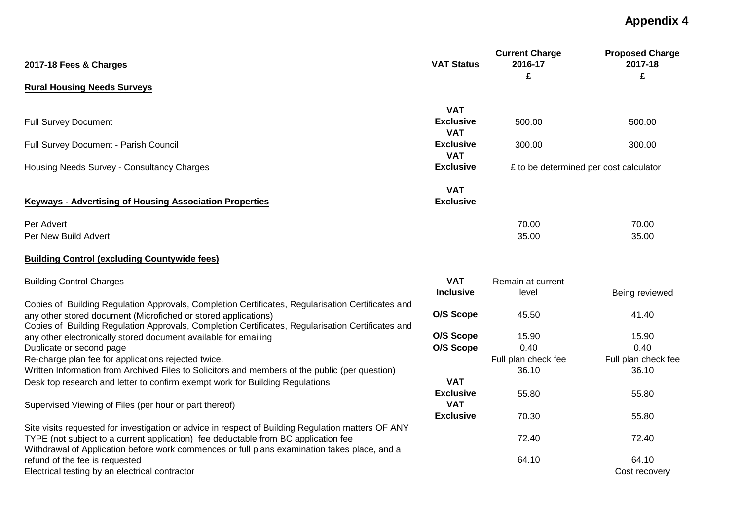|                                                                                                                                                                                    | <b>VAT Status</b>              | <b>Current Charge</b><br>2016-17 | <b>Proposed Charge</b><br>2017-18      |
|------------------------------------------------------------------------------------------------------------------------------------------------------------------------------------|--------------------------------|----------------------------------|----------------------------------------|
| 2017-18 Fees & Charges                                                                                                                                                             |                                | £                                | £                                      |
| <b>Rural Housing Needs Surveys</b>                                                                                                                                                 |                                |                                  |                                        |
|                                                                                                                                                                                    | <b>VAT</b>                     |                                  |                                        |
| <b>Full Survey Document</b>                                                                                                                                                        | <b>Exclusive</b><br><b>VAT</b> | 500.00                           | 500.00                                 |
| Full Survey Document - Parish Council                                                                                                                                              | <b>Exclusive</b><br><b>VAT</b> | 300.00                           | 300.00                                 |
| Housing Needs Survey - Consultancy Charges                                                                                                                                         | <b>Exclusive</b>               |                                  | £ to be determined per cost calculator |
|                                                                                                                                                                                    | <b>VAT</b>                     |                                  |                                        |
| <b>Keyways - Advertising of Housing Association Properties</b>                                                                                                                     | <b>Exclusive</b>               |                                  |                                        |
| Per Advert                                                                                                                                                                         |                                | 70.00                            | 70.00                                  |
| Per New Build Advert                                                                                                                                                               |                                | 35.00                            | 35.00                                  |
| <b>Building Control (excluding Countywide fees)</b>                                                                                                                                |                                |                                  |                                        |
| <b>Building Control Charges</b>                                                                                                                                                    | <b>VAT</b>                     | Remain at current                |                                        |
|                                                                                                                                                                                    | <b>Inclusive</b>               | level                            | Being reviewed                         |
| Copies of Building Regulation Approvals, Completion Certificates, Regularisation Certificates and                                                                                  |                                |                                  |                                        |
| any other stored document (Microfiched or stored applications)<br>Copies of Building Regulation Approvals, Completion Certificates, Regularisation Certificates and                | O/S Scope                      | 45.50                            | 41.40                                  |
| any other electronically stored document available for emailing                                                                                                                    | O/S Scope                      | 15.90                            | 15.90                                  |
| Duplicate or second page                                                                                                                                                           | O/S Scope                      | 0.40                             | 0.40                                   |
| Re-charge plan fee for applications rejected twice.                                                                                                                                |                                | Full plan check fee              | Full plan check fee                    |
| Written Information from Archived Files to Solicitors and members of the public (per question)                                                                                     |                                | 36.10                            | 36.10                                  |
| Desk top research and letter to confirm exempt work for Building Regulations                                                                                                       | <b>VAT</b>                     |                                  |                                        |
| Supervised Viewing of Files (per hour or part thereof)                                                                                                                             | <b>Exclusive</b><br><b>VAT</b> | 55.80                            | 55.80                                  |
|                                                                                                                                                                                    | <b>Exclusive</b>               | 70.30                            | 55.80                                  |
| Site visits requested for investigation or advice in respect of Building Regulation matters OF ANY                                                                                 |                                |                                  |                                        |
| TYPE (not subject to a current application) fee deductable from BC application fee<br>Withdrawal of Application before work commences or full plans examination takes place, and a |                                | 72.40                            | 72.40                                  |
| refund of the fee is requested                                                                                                                                                     |                                | 64.10                            | 64.10                                  |
| Electrical testing by an electrical contractor                                                                                                                                     |                                |                                  | Cost recovery                          |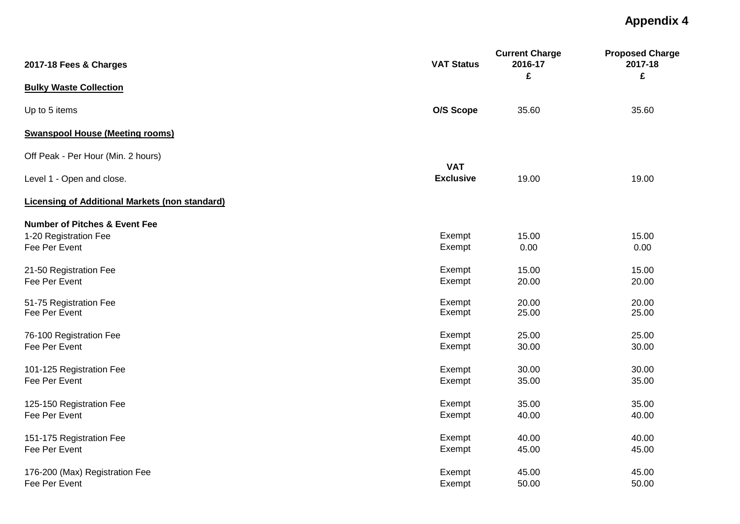| 2017-18 Fees & Charges                                | <b>VAT Status</b> | <b>Current Charge</b><br>2016-17<br>£ | <b>Proposed Charge</b><br>2017-18<br>£ |
|-------------------------------------------------------|-------------------|---------------------------------------|----------------------------------------|
| <b>Bulky Waste Collection</b>                         |                   |                                       |                                        |
| Up to 5 items                                         | O/S Scope         | 35.60                                 | 35.60                                  |
| <b>Swanspool House (Meeting rooms)</b>                |                   |                                       |                                        |
| Off Peak - Per Hour (Min. 2 hours)                    | <b>VAT</b>        |                                       |                                        |
| Level 1 - Open and close.                             | <b>Exclusive</b>  | 19.00                                 | 19.00                                  |
| <b>Licensing of Additional Markets (non standard)</b> |                   |                                       |                                        |
| <b>Number of Pitches &amp; Event Fee</b>              |                   |                                       |                                        |
| 1-20 Registration Fee<br>Fee Per Event                | Exempt<br>Exempt  | 15.00<br>0.00                         | 15.00<br>0.00                          |
| 21-50 Registration Fee                                | Exempt            | 15.00                                 | 15.00                                  |
| Fee Per Event                                         | Exempt            | 20.00                                 | 20.00                                  |
| 51-75 Registration Fee                                | Exempt            | 20.00                                 | 20.00                                  |
| Fee Per Event                                         | Exempt            | 25.00                                 | 25.00                                  |
| 76-100 Registration Fee                               | Exempt            | 25.00                                 | 25.00                                  |
| Fee Per Event                                         | Exempt            | 30.00                                 | 30.00                                  |
| 101-125 Registration Fee                              | Exempt            | 30.00                                 | 30.00                                  |
| Fee Per Event                                         | Exempt            | 35.00                                 | 35.00                                  |
| 125-150 Registration Fee                              | Exempt            | 35.00                                 | 35.00                                  |
| Fee Per Event                                         | Exempt            | 40.00                                 | 40.00                                  |
| 151-175 Registration Fee                              | Exempt            | 40.00                                 | 40.00                                  |
| Fee Per Event                                         | Exempt            | 45.00                                 | 45.00                                  |
| 176-200 (Max) Registration Fee                        | Exempt            | 45.00                                 | 45.00                                  |
| Fee Per Event                                         | Exempt            | 50.00                                 | 50.00                                  |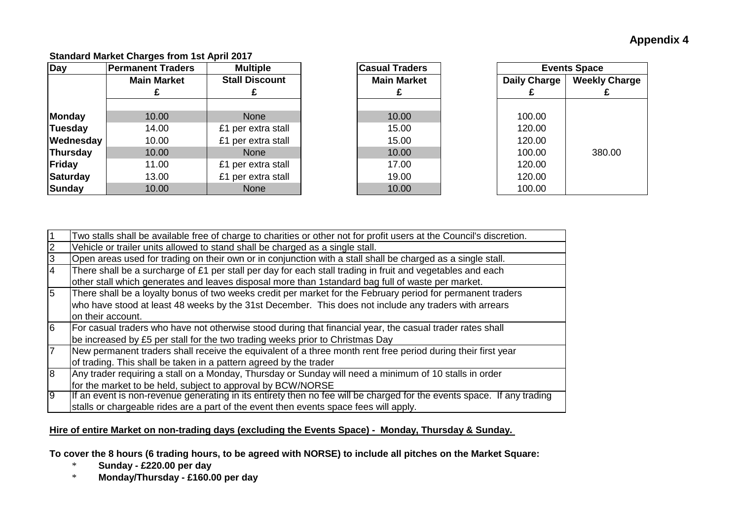# **Standard Market Charges from 1st April 2017**

| <b>Day</b>    | <b>Permanent Traders</b> | <b>Multiple</b>       | <b>Casual Traders</b> |                  |
|---------------|--------------------------|-----------------------|-----------------------|------------------|
|               | <b>Main Market</b>       | <b>Stall Discount</b> | <b>Main Market</b>    | <b>Daily Cha</b> |
|               |                          |                       |                       |                  |
|               |                          |                       |                       |                  |
| Monday        | 10.00                    | <b>None</b>           | 10.00                 | 100.00           |
| Tuesday       | 14.00                    | £1 per extra stall    | 15.00                 | 120.00           |
| Wednesday     | 10.00                    | £1 per extra stall    | 15.00                 | 120.00           |
| Thursday      | 10.00                    | <b>None</b>           | 10.00                 | 100.00           |
| Friday        | 11.00                    | £1 per extra stall    | 17.00                 | 120.00           |
| Saturday      | 13.00                    | £1 per extra stall    | 19.00                 | 120.00           |
| <b>Sunday</b> | 10.00                    | <b>None</b>           | 10.00                 | 100.00           |

| <b>Multiple</b><br>anent Traders |                       | <b>Casual Traders</b> |  | <b>Events Space</b> |                      |  |
|----------------------------------|-----------------------|-----------------------|--|---------------------|----------------------|--|
| <b>Main Market</b>               | <b>Stall Discount</b> | <b>Main Market</b>    |  | <b>Daily Charge</b> | <b>Weekly Charge</b> |  |
|                                  |                       |                       |  |                     |                      |  |
|                                  |                       |                       |  |                     |                      |  |
| 10.00                            | <b>None</b>           | 10.00                 |  | 100.00              |                      |  |
| 14.00                            | £1 per extra stall    | 15.00                 |  | 120.00              |                      |  |
| 10.00                            | £1 per extra stall    | 15.00                 |  | 120.00              |                      |  |
| 10.00                            | <b>None</b>           | 10.00                 |  | 100.00              | 380.00               |  |
| 11.00                            | £1 per extra stall    | 17.00                 |  | 120.00              |                      |  |
| 13.00                            | £1 per extra stall    | 19.00                 |  | 120.00              |                      |  |
| 10.00                            | <b>None</b>           | 10.00                 |  | 100.00              |                      |  |

|    | Two stalls shall be available free of charge to charities or other not for profit users at the Council's discretion.   |
|----|------------------------------------------------------------------------------------------------------------------------|
|    | Vehicle or trailer units allowed to stand shall be charged as a single stall.                                          |
| I3 | Open areas used for trading on their own or in conjunction with a stall shall be charged as a single stall.            |
| 14 | There shall be a surcharge of £1 per stall per day for each stall trading in fruit and vegetables and each             |
|    | other stall which generates and leaves disposal more than 1standard bag full of waste per market.                      |
| 5  | There shall be a loyalty bonus of two weeks credit per market for the February period for permanent traders            |
|    | who have stood at least 48 weeks by the 31st December. This does not include any traders with arrears                  |
|    | on their account.                                                                                                      |
| 6  | For casual traders who have not otherwise stood during that financial year, the casual trader rates shall              |
|    | be increased by £5 per stall for the two trading weeks prior to Christmas Day                                          |
|    | New permanent traders shall receive the equivalent of a three month rent free period during their first year           |
|    | of trading. This shall be taken in a pattern agreed by the trader                                                      |
| 8  | Any trader requiring a stall on a Monday, Thursday or Sunday will need a minimum of 10 stalls in order                 |
|    | for the market to be held, subject to approval by BCW/NORSE                                                            |
| l9 | If an event is non-revenue generating in its entirety then no fee will be charged for the events space. If any trading |
|    | stalls or chargeable rides are a part of the event then events space fees will apply.                                  |

# **Hire of entire Market on non-trading days (excluding the Events Space) - Monday, Thursday & Sunday.**

**To cover the 8 hours (6 trading hours, to be agreed with NORSE) to include all pitches on the Market Square:**

- \* **Sunday £220.00 per day**
- \* **Monday/Thursday £160.00 per day**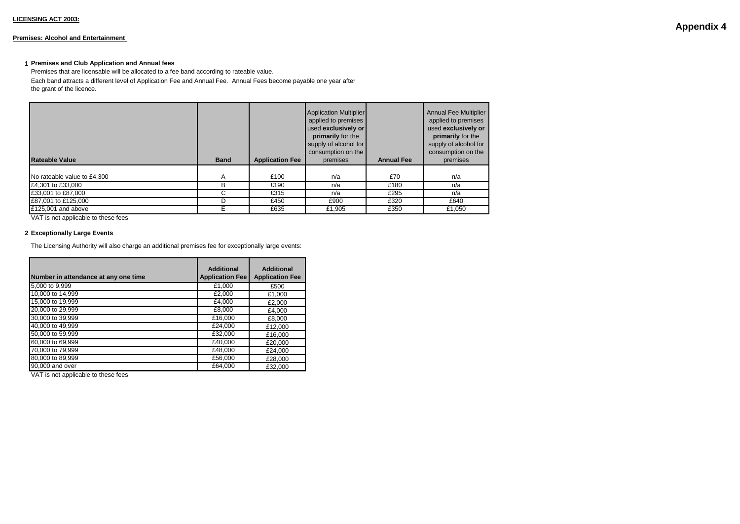#### **Premises: Alcohol and Entertainment**

#### **1 Premises and Club Application and Annual fees**

Premises that are licensable will be allocated to a fee band according to rateable value. Each band attracts a different level of Application Fee and Annual Fee. Annual Fees become payable one year after the grant of the licence.

| <b>Rateable Value</b>       | <b>Band</b> | <b>Application Fee</b> | <b>Application Multiplier</b><br>applied to premises<br>used exclusively or<br>primarily for the<br>supply of alcohol for<br>consumption on the<br>premises | <b>Annual Fee</b> | <b>Annual Fee Multiplier</b><br>applied to premises<br>used exclusively or<br>primarily for the<br>supply of alcohol for<br>consumption on the<br>premises |
|-----------------------------|-------------|------------------------|-------------------------------------------------------------------------------------------------------------------------------------------------------------|-------------------|------------------------------------------------------------------------------------------------------------------------------------------------------------|
| No rateable value to £4,300 | A           | £100                   | n/a                                                                                                                                                         | £70               | n/a                                                                                                                                                        |
| £4,301 to £33,000           | в           | £190                   | n/a                                                                                                                                                         | £180              | n/a                                                                                                                                                        |
| £33,001 to £87,000          | С           | £315                   | n/a                                                                                                                                                         | £295              | n/a                                                                                                                                                        |
| £87,001 to £125,000         | D           | £450                   | £900                                                                                                                                                        | £320              | £640                                                                                                                                                       |
| £125,001 and above          |             | £635                   | £1,905                                                                                                                                                      | £350              | £1.050                                                                                                                                                     |

VAT is not applicable to these fees

#### **2 Exceptionally Large Events**

The Licensing Authority will also charge an additional premises fee for exceptionally large events:

| Number in attendance at any one time | <b>Additional</b><br><b>Application Fee</b> | <b>Additional</b><br><b>Application Fee</b> |
|--------------------------------------|---------------------------------------------|---------------------------------------------|
| 5,000 to 9,999                       | £1,000                                      | £500                                        |
| 10,000 to 14,999                     | £2,000                                      | £1,000                                      |
| 15,000 to 19,999                     | £4,000                                      | £2,000                                      |
| 20,000 to 29,999                     | £8,000                                      | £4,000                                      |
| 30,000 to 39,999                     | £16,000                                     | £8,000                                      |
| 40,000 to 49,999                     | £24,000                                     | £12.000                                     |
| 50,000 to 59,999                     | £32,000                                     | £16,000                                     |
| 60,000 to 69,999                     | £40,000                                     | £20,000                                     |
| 70,000 to 79,999                     | £48,000                                     | £24.000                                     |
| 80,000 to 89,999                     | £56,000                                     | £28.000                                     |
| 90,000 and over                      | £64,000                                     | £32,000                                     |

VAT is not applicable to these fees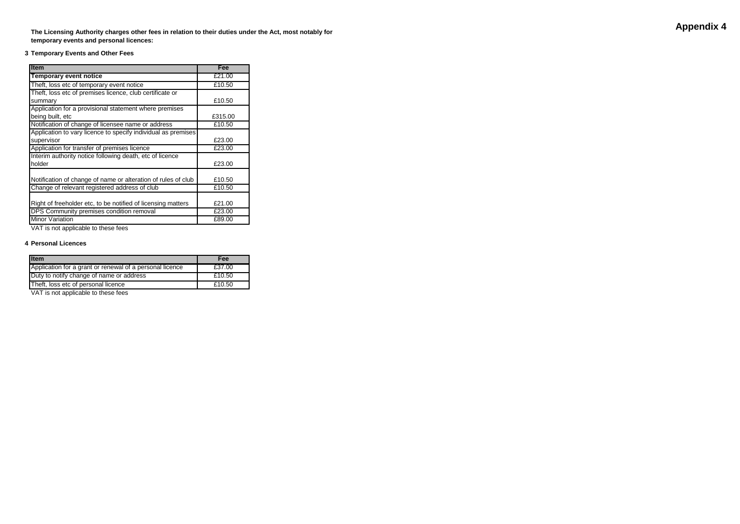**The Licensing Authority charges other fees in relation to their duties under the Act, most notably for temporary events and personal licences:**

#### **3 Temporary Events and Other Fees**

| <b>Item</b>                                                   | Fee     |
|---------------------------------------------------------------|---------|
| <b>Temporary event notice</b>                                 | £21.00  |
| Theft, loss etc of temporary event notice                     | £10.50  |
| Theft, loss etc of premises licence, club certificate or      |         |
| summary                                                       | £10.50  |
| Application for a provisional statement where premises        |         |
| being built, etc                                              | £315.00 |
| Notification of change of licensee name or address            | £10.50  |
| Application to vary licence to specify individual as premises |         |
| supervisor                                                    | £23.00  |
| Application for transfer of premises licence                  | £23.00  |
| Interim authority notice following death, etc of licence      |         |
| holder                                                        | £23.00  |
|                                                               |         |
| Notification of change of name or alteration of rules of club | £10.50  |
| Change of relevant registered address of club                 | £10.50  |
|                                                               |         |
| Right of freeholder etc, to be notified of licensing matters  | £21.00  |
| DPS Community premises condition removal                      | £23.00  |
| <b>Minor Variation</b>                                        | £89.00  |

VAT is not applicable to these fees

#### **4 Personal Licences**

| <b>Item</b>                                              | Fee    |
|----------------------------------------------------------|--------|
| Application for a grant or renewal of a personal licence | £37.00 |
| Duty to notify change of name or address                 | £10.50 |
| Theft, loss etc of personal licence                      | £10.50 |

VAT is not applicable to these fees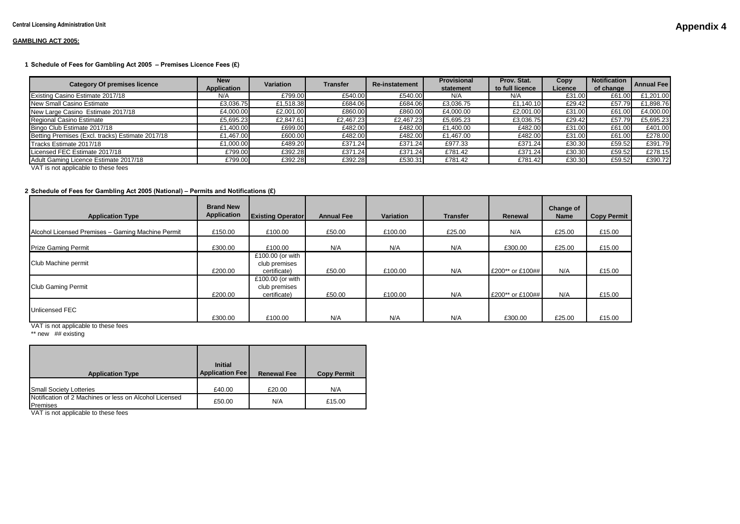#### **GAMBLING ACT 2005:**

#### **1 Schedule of Fees for Gambling Act 2005 – Premises Licence Fees (£)** 1.50

| <b>Category Of premises licence</b>              | <b>New</b><br>Application | Variation | <b>Transfer</b> | <b>Re-instatement</b> | <b>Provisional</b><br>statement | Prov. Stat.<br>to full licence | Copy<br>Licence | <b>Notification</b><br>of change | <b>Annual Fee</b> |
|--------------------------------------------------|---------------------------|-----------|-----------------|-----------------------|---------------------------------|--------------------------------|-----------------|----------------------------------|-------------------|
| Existing Casino Estimate 2017/18                 | N/A                       | £799.00   | £540.00         | £540.00               | N/A                             | N/A                            | £31.00          | £61.00                           | £1.201.00         |
| New Small Casino Estimate                        | £3,036.75                 | £1,518.38 | £684.06         | £684.06               | £3,036.75                       | £1.140.10                      | £29.42          | £57.79                           | £1.898.76         |
| New Large Casino Estimate 2017/18                | £4,000.00                 | £2,001.00 | £860.00         | £860.00               | £4,000.00                       | £2,001.00                      | £31.00          | £61.00                           | £4.000.00         |
| Regional Casino Estimate                         | £5.695.23                 | £2,847.61 | £2.467.23       | £2.467.23             | £5,695.23                       | £3,036.75                      | £29.42          | £57.79                           | £5,695.23         |
| Bingo Club Estimate 2017/18                      | £1,400.00                 | £699.00   | £482.00         | £482.00               | £1,400.00                       | £482.00                        | £31.00          | £61.00                           | £401.00           |
| Betting Premises (Excl. tracks) Estimate 2017/18 | £1.467.00                 | £600.00   | £482.00         | £482.00               | £1.467.00                       | £482.00                        | £31.00          | £61.00                           | £278.00           |
| Tracks Estimate 2017/18                          | £1,000.00                 | £489.20   | £371.24         | £371.24               | £977.33                         | £371.24                        | £30.30          | £59.52                           | £391.79           |
| Licensed FEC Estimate 2017/18                    | £799.00                   | £392.28   | £371.24         | £371.24               | £781.42                         | £371.24                        | £30.30          | £59.52                           | £278.15           |
| Adult Gaming Licence Estimate 2017/18            | £799.00                   | £392.28   | £392.28         | £530.31               | £781.42                         | £781.42                        | £30.30          | £59.52                           | £390.72           |
| $\mathbf{v}$                                     |                           |           |                 |                       |                                 |                                |                 |                                  |                   |

VAT is not applicable to these fees

#### **2 Schedule of Fees for Gambling Act 2005 (National) – Permits and Notifications (£)**

| <b>Application Type</b>                           | <b>Brand New</b><br><b>Application</b> | <b>Existing Operator</b>                          | <b>Annual Fee</b> | Variation | <b>Transfer</b> | Renewal          | Change of<br><b>Name</b> | <b>Copy Permit</b> |
|---------------------------------------------------|----------------------------------------|---------------------------------------------------|-------------------|-----------|-----------------|------------------|--------------------------|--------------------|
| Alcohol Licensed Premises - Gaming Machine Permit | £150.00                                | £100.00                                           | £50.00            | £100.00   | £25.00          | N/A              | £25.00                   | £15.00             |
| <b>Prize Gaming Permit</b>                        | £300.00                                | £100.00                                           | N/A               | N/A       | N/A             | £300.00          | £25.00                   | £15.00             |
| Club Machine permit                               | £200.00                                | £100.00 (or with<br>club premises<br>certificate) | £50.00            | £100.00   | N/A             | £200** or £100## | N/A                      | £15.00             |
| <b>Club Gaming Permit</b>                         | £200.00                                | £100.00 (or with<br>club premises<br>certificate) | £50.00            | £100.00   | N/A             | £200** or £100## | N/A                      | £15.00             |
| Unlicensed FEC                                    | £300.00                                | £100.00                                           | N/A               | N/A       | N/A             | £300.00          | £25.00                   | £15.00             |

VAT is not applicable to these fees

\*\* new ## existing

| <b>Application Type</b>                                            | <b>Initial</b><br><b>Application Fee</b> | <b>Renewal Fee</b> | <b>Copy Permit</b> |  |
|--------------------------------------------------------------------|------------------------------------------|--------------------|--------------------|--|
| <b>Small Society Lotteries</b>                                     | £40.00                                   | £20.00             | N/A                |  |
| Notification of 2 Machines or less on Alcohol Licensed<br>Premises | £50.00                                   | N/A                | £15.00             |  |

VAT is not applicable to these fees